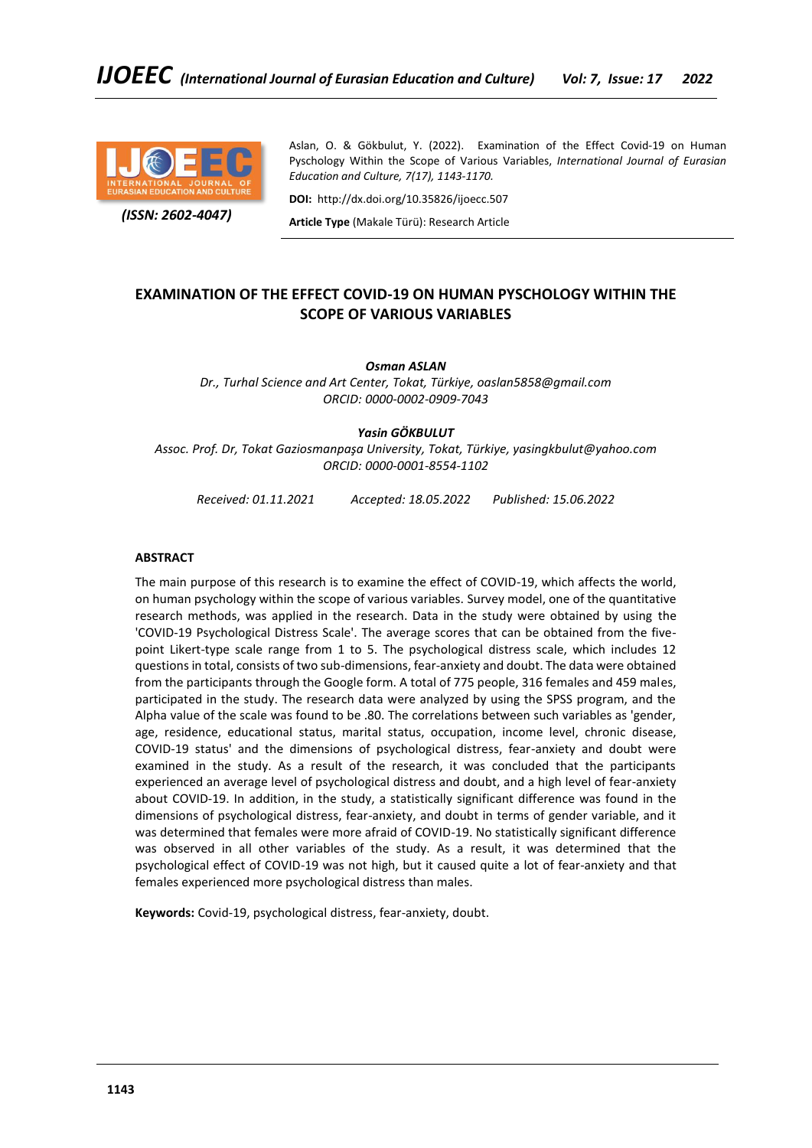

 *(ISSN: 2602-4047)*

Aslan, O. & Gökbulut, Y. (2022). Examination of the Effect Covid-19 on Human Pyschology Within the Scope of Various Variables, *International Journal of Eurasian Education and Culture, 7(17), 1143-1170.*

**DOI:** http://dx.doi.org/10.35826/ijoecc.507

**Article Type** (Makale Türü): Research Article

# **EXAMINATION OF THE EFFECT COVID-19 ON HUMAN PYSCHOLOGY WITHIN THE SCOPE OF VARIOUS VARIABLES**

*Osman ASLAN*

*Dr., Turhal Science and Art Center, Tokat, Türkiye, oaslan5858@gmail.com ORCID: 0000-0002-0909-7043*

## *Yasin GÖKBULUT*

*Assoc. Prof. Dr, Tokat Gaziosmanpaşa University, Tokat, Türkiye, yasingkbulut@yahoo.com ORCID: 0000-0001-8554-1102*

*Received: 01.11.2021 Accepted: 18.05.2022 Published: 15.06.2022*

### **ABSTRACT**

The main purpose of this research is to examine the effect of COVID-19, which affects the world, on human psychology within the scope of various variables. Survey model, one of the quantitative research methods, was applied in the research. Data in the study were obtained by using the 'COVID-19 Psychological Distress Scale'. The average scores that can be obtained from the fivepoint Likert-type scale range from 1 to 5. The psychological distress scale, which includes 12 questions in total, consists of two sub-dimensions, fear-anxiety and doubt. The data were obtained from the participants through the Google form. A total of 775 people, 316 females and 459 males, participated in the study. The research data were analyzed by using the SPSS program, and the Alpha value of the scale was found to be .80. The correlations between such variables as 'gender, age, residence, educational status, marital status, occupation, income level, chronic disease, COVID-19 status' and the dimensions of psychological distress, fear-anxiety and doubt were examined in the study. As a result of the research, it was concluded that the participants experienced an average level of psychological distress and doubt, and a high level of fear-anxiety about COVID-19. In addition, in the study, a statistically significant difference was found in the dimensions of psychological distress, fear-anxiety, and doubt in terms of gender variable, and it was determined that females were more afraid of COVID-19. No statistically significant difference was observed in all other variables of the study. As a result, it was determined that the psychological effect of COVID-19 was not high, but it caused quite a lot of fear-anxiety and that females experienced more psychological distress than males.

**Keywords:** Covid-19, psychological distress, fear-anxiety, doubt.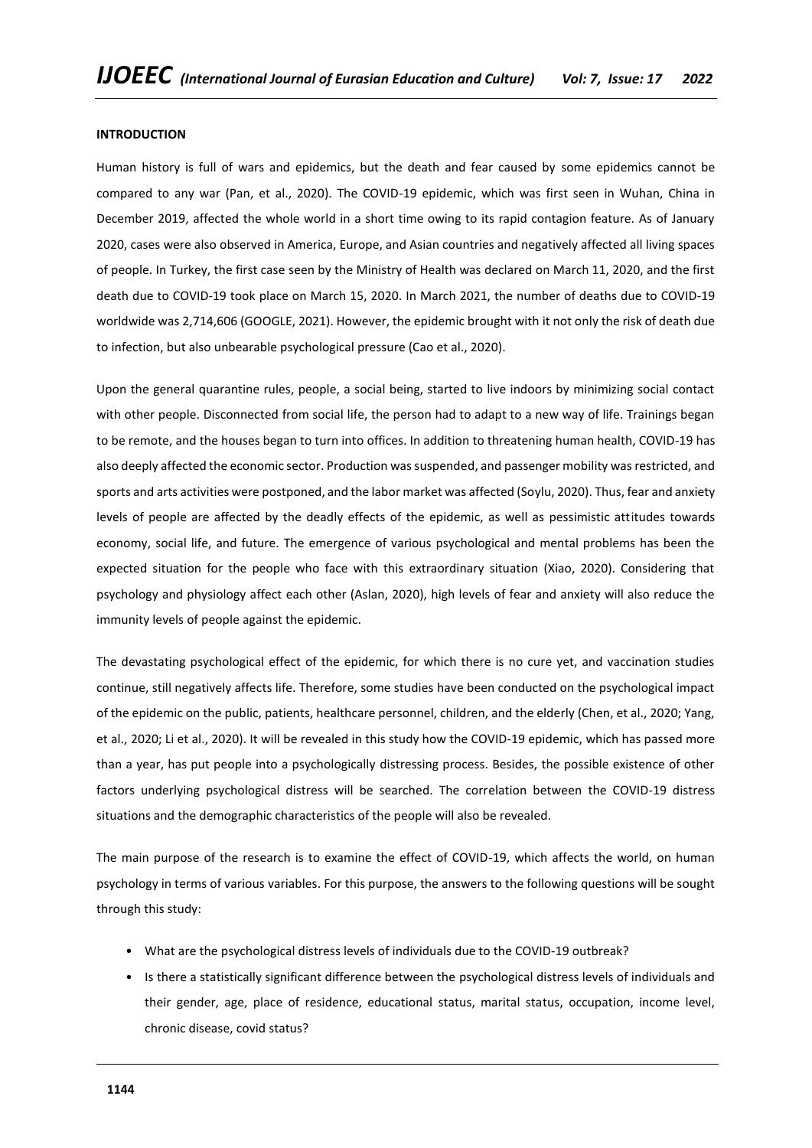#### **INTRODUCTION**

Human history is full of wars and epidemics, but the death and fear caused by some epidemics cannot be compared to any war (Pan, et al., 2020). The COVID-19 epidemic, which was first seen in Wuhan, China in December 2019, affected the whole world in a short time owing to its rapid contagion feature. As of January 2020, cases were also observed in America, Europe, and Asian countries and negatively affected all living spaces of people. In Turkey, the first case seen by the Ministry of Health was declared on March 11, 2020, and the first death due to COVID-19 took place on March 15, 2020. In March 2021, the number of deaths due to COVID-19 worldwide was 2,714,606 (GOOGLE, 2021). However, the epidemic brought with it not only the risk of death due to infection, but also unbearable psychological pressure (Cao et al., 2020).

Upon the general quarantine rules, people, a social being, started to live indoors by minimizing social contact with other people. Disconnected from social life, the person had to adapt to a new way of life. Trainings began to be remote, and the houses began to turn into offices. In addition to threatening human health, COVID-19 has also deeply affected the economic sector. Production was suspended, and passenger mobility was restricted, and sports and arts activities were postponed, and the labor market was affected (Soylu, 2020). Thus, fear and anxiety levels of people are affected by the deadly effects of the epidemic, as well as pessimistic attitudes towards economy, social life, and future. The emergence of various psychological and mental problems has been the expected situation for the people who face with this extraordinary situation (Xiao, 2020). Considering that psychology and physiology affect each other (Aslan, 2020), high levels of fear and anxiety will also reduce the immunity levels of people against the epidemic.

The devastating psychological effect of the epidemic, for which there is no cure yet, and vaccination studies continue, still negatively affects life. Therefore, some studies have been conducted on the psychological impact of the epidemic on the public, patients, healthcare personnel, children, and the elderly (Chen, et al., 2020; Yang, et al., 2020; Li et al., 2020). It will be revealed in this study how the COVID-19 epidemic, which has passed more than a year, has put people into a psychologically distressing process. Besides, the possible existence of other factors underlying psychological distress will be searched. The correlation between the COVID-19 distress situations and the demographic characteristics of the people will also be revealed.

The main purpose of the research is to examine the effect of COVID-19, which affects the world, on human psychology in terms of various variables. For this purpose, the answers to the following questions will be sought through this study:

- What are the psychological distress levels of individuals due to the COVID-19 outbreak?
- Is there a statistically significant difference between the psychological distress levels of individuals and their gender, age, place of residence, educational status, marital status, occupation, income level, chronic disease, covid status?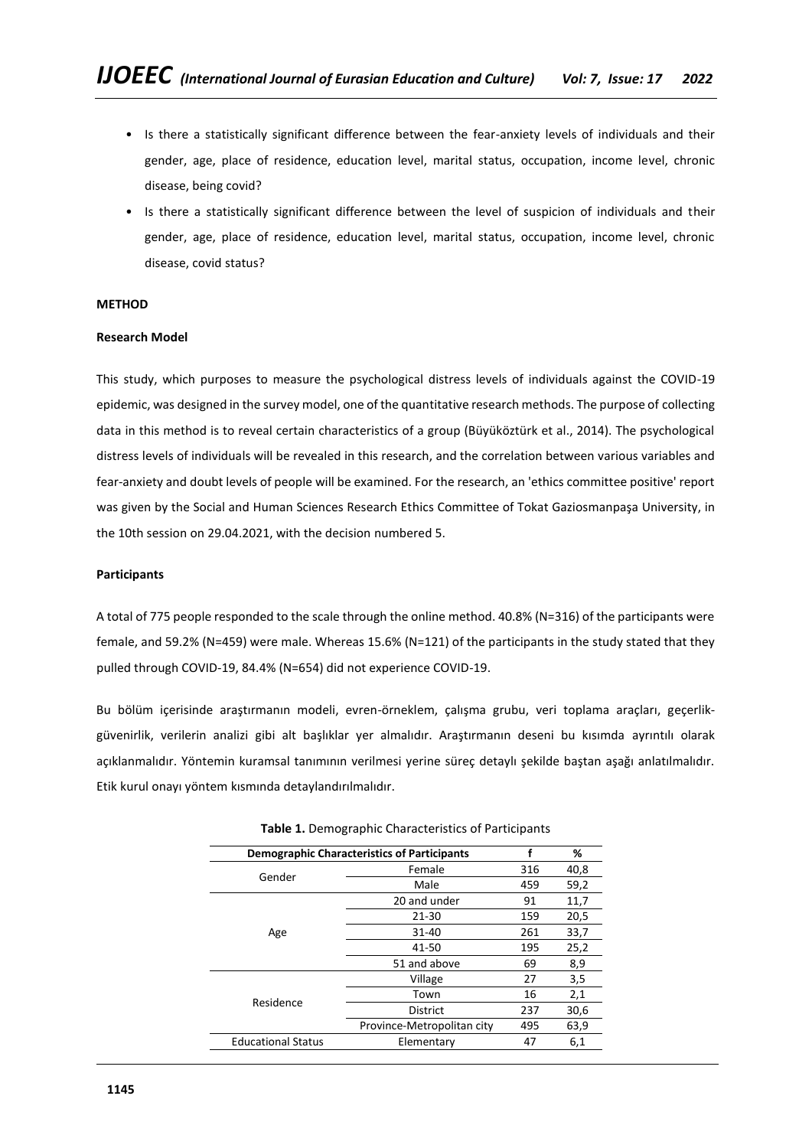- Is there a statistically significant difference between the fear-anxiety levels of individuals and their gender, age, place of residence, education level, marital status, occupation, income level, chronic disease, being covid?
- Is there a statistically significant difference between the level of suspicion of individuals and their gender, age, place of residence, education level, marital status, occupation, income level, chronic disease, covid status?

# **METHOD**

# **Research Model**

This study, which purposes to measure the psychological distress levels of individuals against the COVID-19 epidemic, was designed in the survey model, one of the quantitative research methods. The purpose of collecting data in this method is to reveal certain characteristics of a group (Büyüköztürk et al., 2014). The psychological distress levels of individuals will be revealed in this research, and the correlation between various variables and fear-anxiety and doubt levels of people will be examined. For the research, an 'ethics committee positive' report was given by the Social and Human Sciences Research Ethics Committee of Tokat Gaziosmanpaşa University, in the 10th session on 29.04.2021, with the decision numbered 5.

# **Participants**

A total of 775 people responded to the scale through the online method. 40.8% (N=316) of the participants were female, and 59.2% (N=459) were male. Whereas 15.6% (N=121) of the participants in the study stated that they pulled through COVID-19, 84.4% (N=654) did not experience COVID-19.

Bu bölüm içerisinde araştırmanın modeli, evren-örneklem, çalışma grubu, veri toplama araçları, geçerlikgüvenirlik, verilerin analizi gibi alt başlıklar yer almalıdır. Araştırmanın deseni bu kısımda ayrıntılı olarak açıklanmalıdır. Yöntemin kuramsal tanımının verilmesi yerine süreç detaylı şekilde baştan aşağı anlatılmalıdır. Etik kurul onayı yöntem kısmında detaylandırılmalıdır.

|                           | <b>Demographic Characteristics of Participants</b> |     |      |  |
|---------------------------|----------------------------------------------------|-----|------|--|
| Gender                    | Female                                             | 316 | 40,8 |  |
|                           | Male                                               | 459 | 59,2 |  |
|                           | 20 and under                                       | 91  | 11,7 |  |
|                           | $21 - 30$                                          | 159 | 20,5 |  |
| Age                       | $31 - 40$                                          | 261 | 33,7 |  |
|                           | 41-50                                              | 195 | 25,2 |  |
|                           | 51 and above                                       | 69  | 8,9  |  |
|                           | Village                                            | 27  | 3,5  |  |
| Residence                 | Town                                               | 16  | 2,1  |  |
|                           | <b>District</b>                                    | 237 | 30,6 |  |
|                           | Province-Metropolitan city                         | 495 | 63,9 |  |
| <b>Educational Status</b> | Elementary                                         | 47  | 6,1  |  |

**Table 1.** Demographic Characteristics of Participants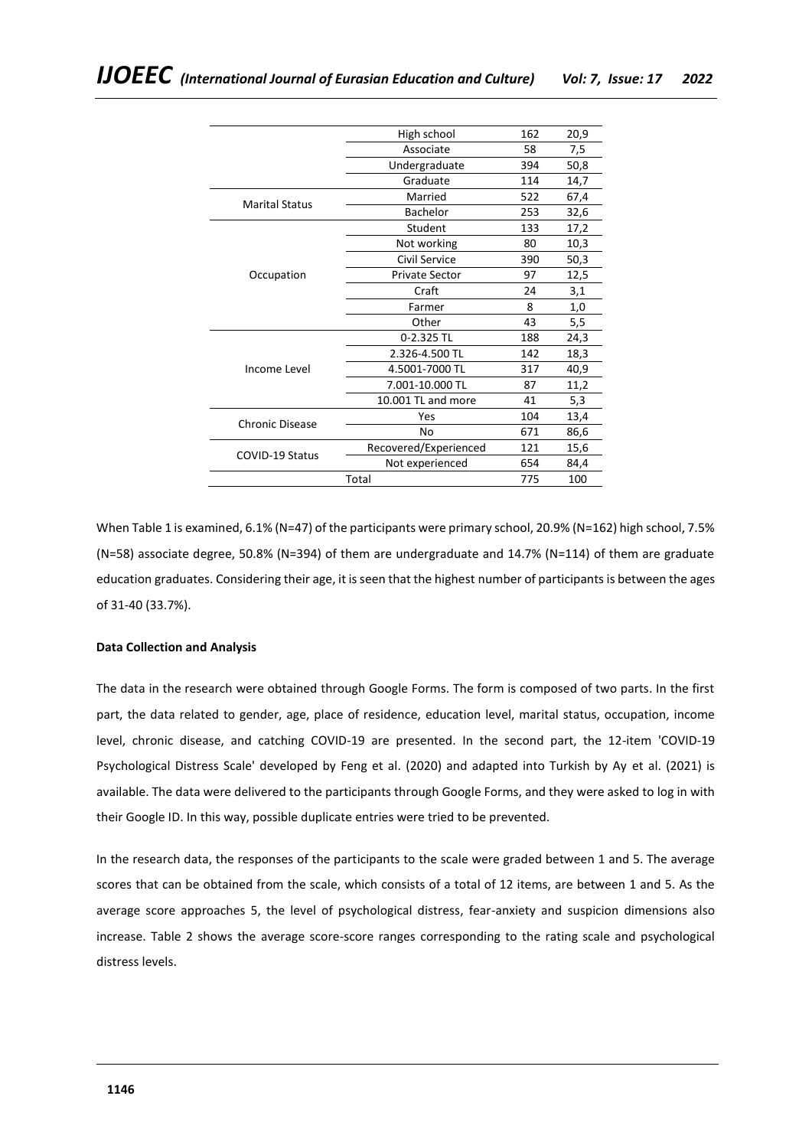|                        | High school           | 162 | 20,9 |
|------------------------|-----------------------|-----|------|
|                        | Associate             | 58  | 7,5  |
|                        | Undergraduate         | 394 | 50,8 |
|                        | Graduate              | 114 | 14,7 |
|                        | Married               | 522 | 67,4 |
| <b>Marital Status</b>  | Bachelor              | 253 | 32,6 |
|                        | Student               | 133 | 17,2 |
|                        | Not working           | 80  | 10,3 |
|                        | Civil Service         | 390 | 50,3 |
| Occupation             | <b>Private Sector</b> | 97  | 12,5 |
|                        | Craft                 | 24  | 3,1  |
|                        | Farmer                | 8   | 1,0  |
|                        | Other                 | 43  | 5,5  |
|                        | 0-2.325 TL            | 188 | 24,3 |
|                        | 2.326-4.500 TL        | 142 | 18,3 |
| Income Level           | 4.5001-7000 TL        | 317 | 40,9 |
|                        | 7.001-10.000 TL       | 87  | 11,2 |
|                        | 10.001 TL and more    | 41  | 5,3  |
| <b>Chronic Disease</b> | Yes                   | 104 | 13,4 |
|                        | No                    | 671 | 86,6 |
|                        | Recovered/Experienced | 121 | 15,6 |
| <b>COVID-19 Status</b> | Not experienced       | 654 | 84,4 |
|                        | Total                 | 775 | 100  |
|                        |                       |     |      |

When Table 1 is examined, 6.1% (N=47) of the participants were primary school, 20.9% (N=162) high school, 7.5% (N=58) associate degree, 50.8% (N=394) of them are undergraduate and 14.7% (N=114) of them are graduate education graduates. Considering their age, it is seen that the highest number of participants is between the ages of 31-40 (33.7%).

# **Data Collection and Analysis**

The data in the research were obtained through Google Forms. The form is composed of two parts. In the first part, the data related to gender, age, place of residence, education level, marital status, occupation, income level, chronic disease, and catching COVID-19 are presented. In the second part, the 12-item 'COVID-19 Psychological Distress Scale' developed by Feng et al. (2020) and adapted into Turkish by Ay et al. (2021) is available. The data were delivered to the participants through Google Forms, and they were asked to log in with their Google ID. In this way, possible duplicate entries were tried to be prevented.

In the research data, the responses of the participants to the scale were graded between 1 and 5. The average scores that can be obtained from the scale, which consists of a total of 12 items, are between 1 and 5. As the average score approaches 5, the level of psychological distress, fear-anxiety and suspicion dimensions also increase. Table 2 shows the average score-score ranges corresponding to the rating scale and psychological distress levels.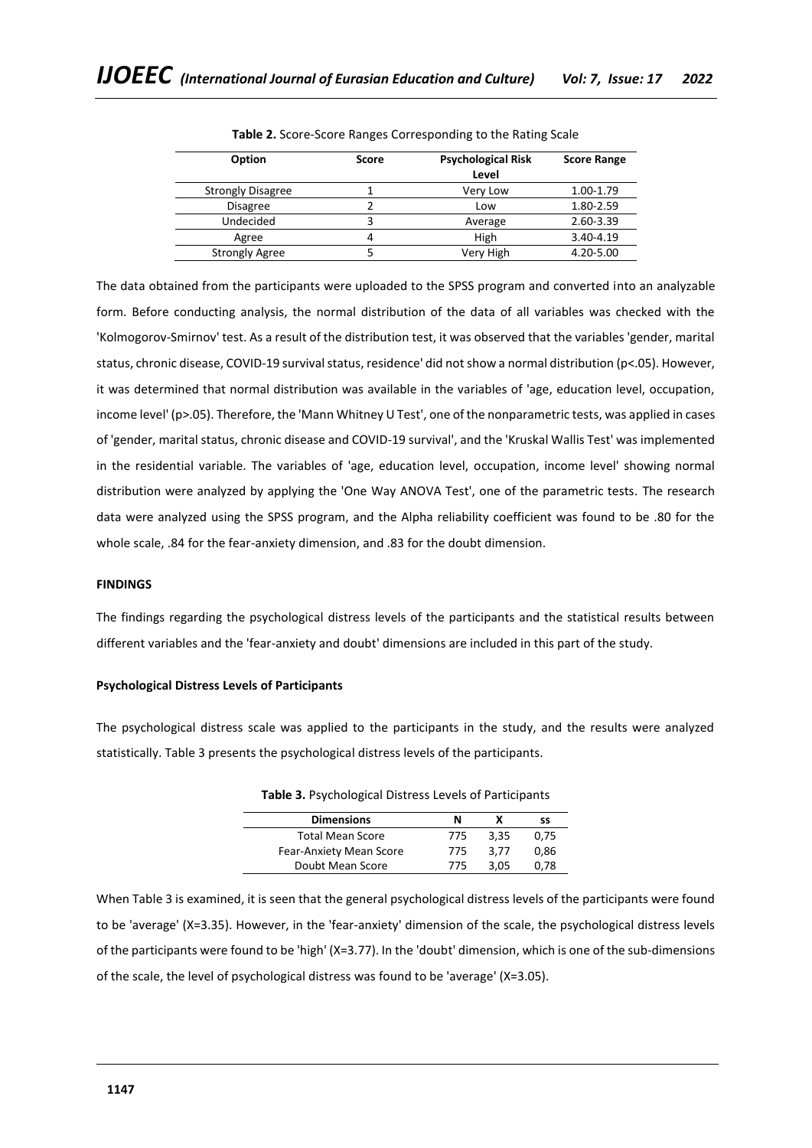| <b>Option</b>            | <b>Score</b> | <b>Psychological Risk</b> | <b>Score Range</b> |
|--------------------------|--------------|---------------------------|--------------------|
|                          |              | Level                     |                    |
| <b>Strongly Disagree</b> |              | Very Low                  | 1.00-1.79          |
| <b>Disagree</b>          |              | Low                       | 1.80-2.59          |
| Undecided                |              | Average                   | 2.60-3.39          |
| Agree                    | 4            | High                      | 3.40-4.19          |
| <b>Strongly Agree</b>    |              | Very High                 | 4.20-5.00          |

**Table 2.** Score-Score Ranges Corresponding to the Rating Scale

The data obtained from the participants were uploaded to the SPSS program and converted into an analyzable form. Before conducting analysis, the normal distribution of the data of all variables was checked with the 'Kolmogorov-Smirnov' test. As a result of the distribution test, it was observed that the variables 'gender, marital status, chronic disease, COVID-19 survival status, residence' did not show a normal distribution (p<.05). However, it was determined that normal distribution was available in the variables of 'age, education level, occupation, income level' (p>.05). Therefore, the 'Mann Whitney U Test', one of the nonparametric tests, was applied in cases of 'gender, marital status, chronic disease and COVID-19 survival', and the 'Kruskal Wallis Test' was implemented in the residential variable. The variables of 'age, education level, occupation, income level' showing normal distribution were analyzed by applying the 'One Way ANOVA Test', one of the parametric tests. The research data were analyzed using the SPSS program, and the Alpha reliability coefficient was found to be .80 for the whole scale, .84 for the fear-anxiety dimension, and .83 for the doubt dimension.

### **FINDINGS**

The findings regarding the psychological distress levels of the participants and the statistical results between different variables and the 'fear-anxiety and doubt' dimensions are included in this part of the study.

### **Psychological Distress Levels of Participants**

The psychological distress scale was applied to the participants in the study, and the results were analyzed statistically. Table 3 presents the psychological distress levels of the participants.

| <b>Dimensions</b>       | N   |      | SS   |
|-------------------------|-----|------|------|
| <b>Total Mean Score</b> | 775 | 3.35 | 0.75 |
| Fear-Anxiety Mean Score | 775 | 3.77 | 0.86 |
| Doubt Mean Score        | 775 | 3.05 | 0.78 |

**Table 3.** Psychological Distress Levels of Participants

When Table 3 is examined, it is seen that the general psychological distress levels of the participants were found to be 'average' (X=3.35). However, in the 'fear-anxiety' dimension of the scale, the psychological distress levels of the participants were found to be 'high' (X=3.77). In the 'doubt' dimension, which is one of the sub-dimensions of the scale, the level of psychological distress was found to be 'average' (X=3.05).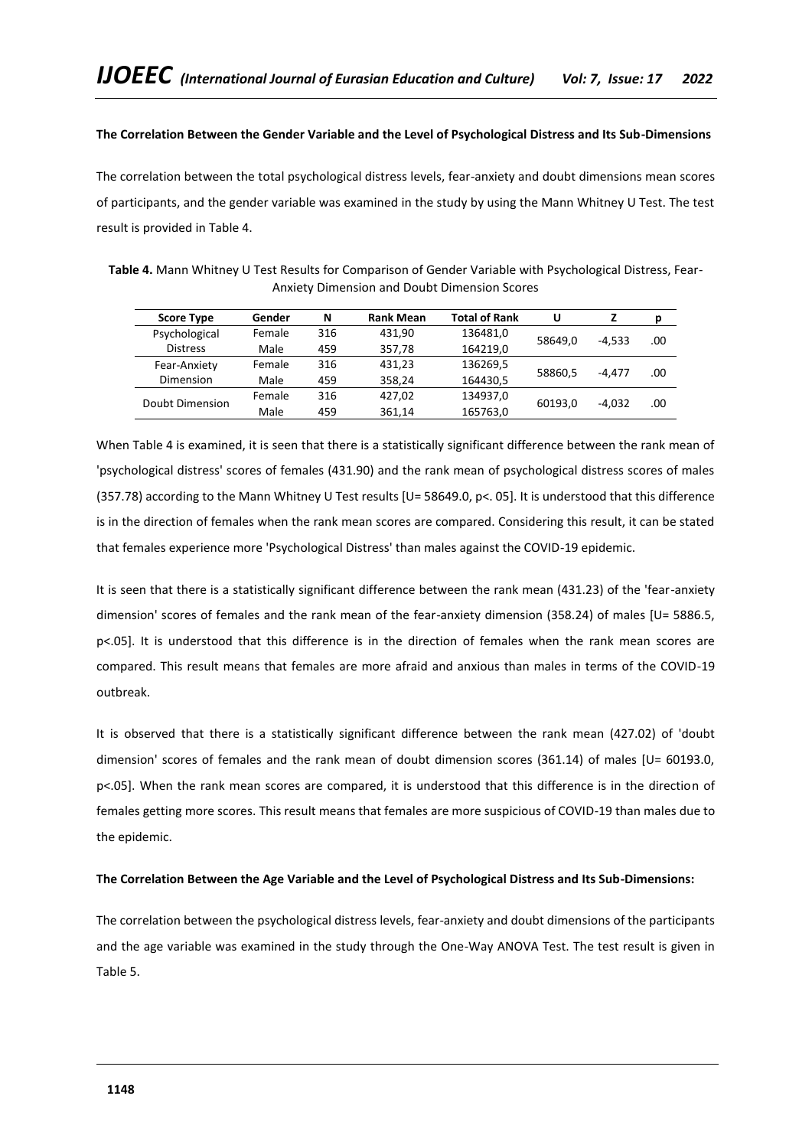# **The Correlation Between the Gender Variable and the Level of Psychological Distress and Its Sub-Dimensions**

The correlation between the total psychological distress levels, fear-anxiety and doubt dimensions mean scores of participants, and the gender variable was examined in the study by using the Mann Whitney U Test. The test result is provided in Table 4.

| Table 4. Mann Whitney U Test Results for Comparison of Gender Variable with Psychological Distress, Fear- |  |
|-----------------------------------------------------------------------------------------------------------|--|
| Anxiety Dimension and Doubt Dimension Scores                                                              |  |

| <b>Score Type</b> | Gender | N   | <b>Rank Mean</b> | <b>Total of Rank</b> | U       |          | D   |
|-------------------|--------|-----|------------------|----------------------|---------|----------|-----|
| Psychological     | Female | 316 | 431.90           | 136481,0             | 58649.0 | $-4.533$ | .00 |
| <b>Distress</b>   | Male   | 459 | 357,78           | 164219,0             |         |          |     |
| Fear-Anxiety      | Female | 316 | 431,23           | 136269,5             |         | $-4.477$ |     |
| Dimension         | Male   | 459 | 358,24           | 164430.5             | 58860,5 |          | .00 |
|                   | Female | 316 | 427.02           | 134937,0             |         |          |     |
| Doubt Dimension   | Male   | 459 | 361.14           | 165763,0             | 60193,0 | $-4.032$ | .00 |

When Table 4 is examined, it is seen that there is a statistically significant difference between the rank mean of 'psychological distress' scores of females (431.90) and the rank mean of psychological distress scores of males (357.78) according to the Mann Whitney U Test results [U= 58649.0, p<. 05]. It is understood that this difference is in the direction of females when the rank mean scores are compared. Considering this result, it can be stated that females experience more 'Psychological Distress' than males against the COVID-19 epidemic.

It is seen that there is a statistically significant difference between the rank mean (431.23) of the 'fear-anxiety dimension' scores of females and the rank mean of the fear-anxiety dimension (358.24) of males [U= 5886.5, p<.05]. It is understood that this difference is in the direction of females when the rank mean scores are compared. This result means that females are more afraid and anxious than males in terms of the COVID-19 outbreak.

It is observed that there is a statistically significant difference between the rank mean (427.02) of 'doubt dimension' scores of females and the rank mean of doubt dimension scores (361.14) of males [U= 60193.0, p<.05]. When the rank mean scores are compared, it is understood that this difference is in the direction of females getting more scores. This result means that females are more suspicious of COVID-19 than males due to the epidemic.

### **The Correlation Between the Age Variable and the Level of Psychological Distress and Its Sub-Dimensions:**

The correlation between the psychological distress levels, fear-anxiety and doubt dimensions of the participants and the age variable was examined in the study through the One-Way ANOVA Test. The test result is given in Table 5.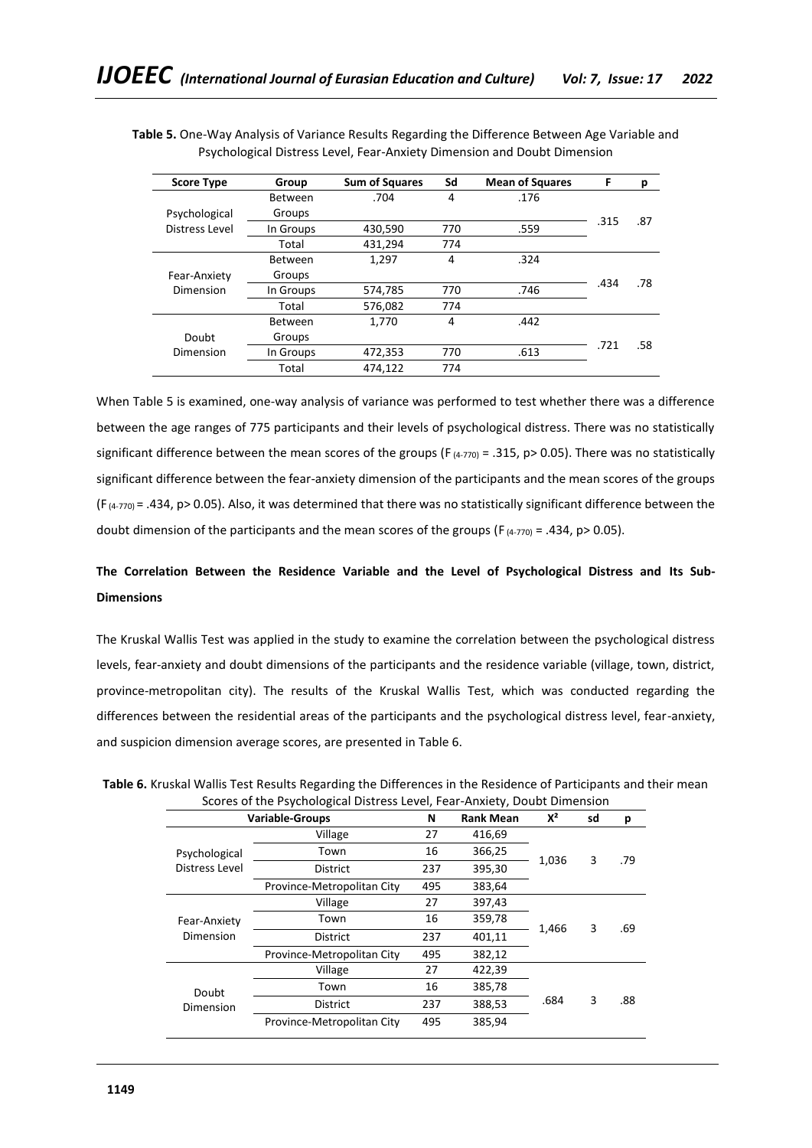| <b>Score Type</b> | Group          | <b>Sum of Squares</b> | Sd  | <b>Mean of Squares</b> | F    | р   |
|-------------------|----------------|-----------------------|-----|------------------------|------|-----|
|                   | <b>Between</b> | .704                  | 4   | .176                   |      |     |
| Psychological     | Groups         |                       |     |                        | .315 | .87 |
| Distress Level    | In Groups      | 430,590               | 770 | .559                   |      |     |
|                   | Total          | 431,294               | 774 |                        |      |     |
|                   | Between        | 1,297                 | 4   | .324                   |      |     |
| Fear-Anxiety      | Groups         |                       |     |                        |      | .78 |
| Dimension         | In Groups      | 574,785               | 770 | .746                   | .434 |     |
|                   | Total          | 576,082               | 774 |                        |      |     |
|                   | <b>Between</b> | 1,770                 | 4   | .442                   |      |     |
| Doubt             | Groups         |                       |     |                        |      |     |
| Dimension         | In Groups      | 472,353               | 770 | .613                   | .721 | .58 |
|                   | Total          | 474,122               | 774 |                        |      |     |

**Table 5.** One-Way Analysis of Variance Results Regarding the Difference Between Age Variable and Psychological Distress Level, Fear-Anxiety Dimension and Doubt Dimension

When Table 5 is examined, one-way analysis of variance was performed to test whether there was a difference between the age ranges of 775 participants and their levels of psychological distress. There was no statistically significant difference between the mean scores of the groups (F $(4-770)$  = .315, p> 0.05). There was no statistically significant difference between the fear-anxiety dimension of the participants and the mean scores of the groups  $(F_{(4-770)} = .434, p > 0.05)$ . Also, it was determined that there was no statistically significant difference between the doubt dimension of the participants and the mean scores of the groups ( $F_{(4-770)} = .434$ ,  $p > 0.05$ ).

# **The Correlation Between the Residence Variable and the Level of Psychological Distress and Its Sub-Dimensions**

The Kruskal Wallis Test was applied in the study to examine the correlation between the psychological distress levels, fear-anxiety and doubt dimensions of the participants and the residence variable (village, town, district, province-metropolitan city). The results of the Kruskal Wallis Test, which was conducted regarding the differences between the residential areas of the participants and the psychological distress level, fear-anxiety, and suspicion dimension average scores, are presented in Table 6.

|                | <b>Variable-Groups</b>     | N            | <b>Rank Mean</b>                                                                          | $X^2$      | sd | р   |
|----------------|----------------------------|--------------|-------------------------------------------------------------------------------------------|------------|----|-----|
|                | Village                    | 27<br>416,69 |                                                                                           |            |    |     |
| Psychological  | Town                       | 16           | 366,25                                                                                    |            |    |     |
| Distress Level | <b>District</b>            | 237          | 395,30                                                                                    |            |    | .79 |
|                | Province-Metropolitan City | 495          | 383,64                                                                                    | 3<br>1,466 |    |     |
|                | Village                    | 27           | 397,43                                                                                    |            |    |     |
| Fear-Anxiety   | Town                       | 16           | 359,78                                                                                    |            |    | .69 |
| Dimension      | <b>District</b>            | 237          | 401,11                                                                                    |            |    |     |
|                | Province-Metropolitan City |              | 1,036<br>3<br>495<br>382,12<br>422,39<br>27<br>16<br>385,78<br>.684<br>3<br>237<br>388,53 |            |    |     |
|                | Village                    |              |                                                                                           |            |    |     |
| Doubt          | Town                       |              |                                                                                           |            |    |     |
| Dimension      | <b>District</b>            |              |                                                                                           |            |    | .88 |
|                | Province-Metropolitan City | 495          | 385,94                                                                                    |            |    |     |
|                |                            |              |                                                                                           |            |    |     |

**Table 6.** Kruskal Wallis Test Results Regarding the Differences in the Residence of Participants and their mean Scores of the Psychological Distress Level, Fear-Anxiety, Doubt Dimension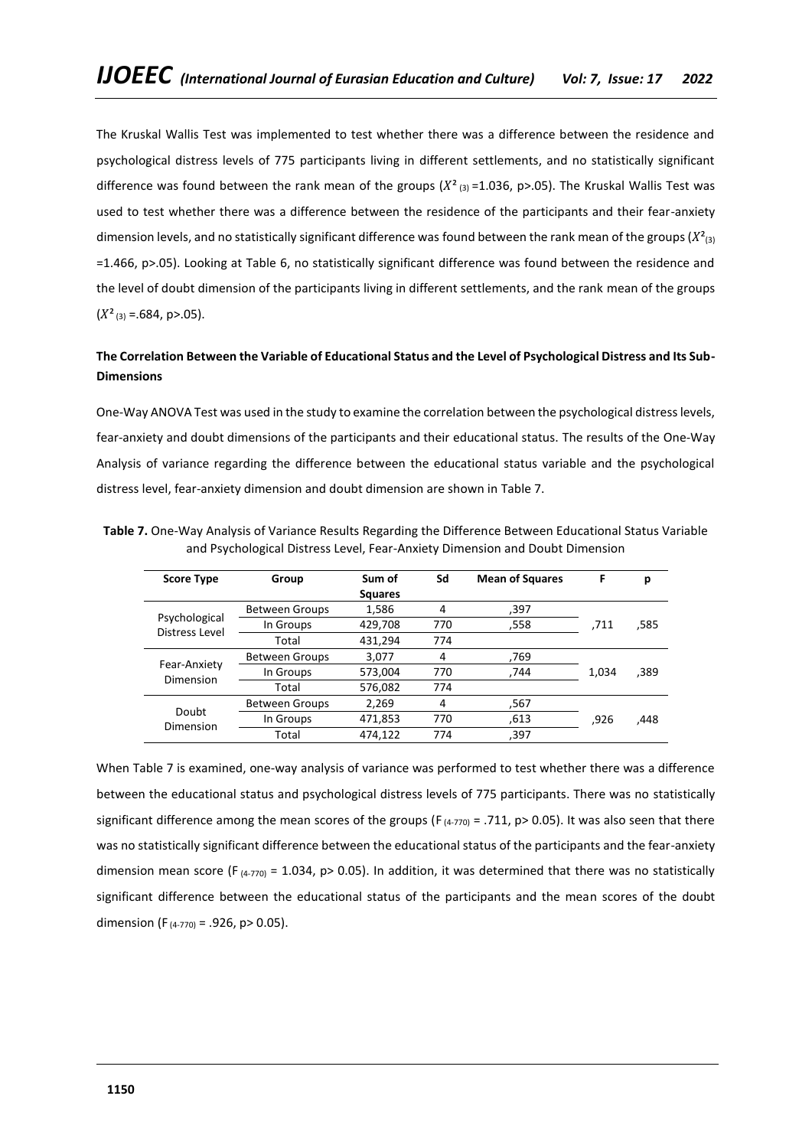The Kruskal Wallis Test was implemented to test whether there was a difference between the residence and psychological distress levels of 775 participants living in different settlements, and no statistically significant difference was found between the rank mean of the groups  $(X^2_{(3)}=1.036, p>0.05)$ . The Kruskal Wallis Test was used to test whether there was a difference between the residence of the participants and their fear-anxiety dimension levels, and no statistically significant difference was found between the rank mean of the groups  $(X^2_{(3)})$ =1.466, p>.05). Looking at Table 6, no statistically significant difference was found between the residence and the level of doubt dimension of the participants living in different settlements, and the rank mean of the groups  $(X<sup>2</sup><sub>(3)</sub> = .684, p > .05).$ 

# **The Correlation Between the Variable of Educational Status and the Level of Psychological Distress and Its Sub-Dimensions**

One-Way ANOVA Test was used in the study to examine the correlation between the psychological distress levels, fear-anxiety and doubt dimensions of the participants and their educational status. The results of the One-Way Analysis of variance regarding the difference between the educational status variable and the psychological distress level, fear-anxiety dimension and doubt dimension are shown in Table 7.

| <b>Score Type</b>               | Group                 | Sum of         | Sd  | <b>Mean of Squares</b> | F     | р    |
|---------------------------------|-----------------------|----------------|-----|------------------------|-------|------|
|                                 |                       | <b>Squares</b> |     |                        |       |      |
|                                 | <b>Between Groups</b> | 1,586          | 4   | ,397                   |       |      |
| Psychological<br>Distress Level | In Groups             | 429,708        | 770 | .558                   | .711  | ,585 |
|                                 | Total                 | 431,294        | 774 |                        |       |      |
|                                 | <b>Between Groups</b> | 3,077          | 4   | 769,                   |       |      |
| Fear-Anxiety                    | In Groups             | 573,004        | 770 | ,744                   | 1.034 | ,389 |
| Dimension                       | Total                 | 576,082        | 774 |                        |       |      |
|                                 | <b>Between Groups</b> | 2,269          | 4   | 567,                   |       |      |
| Doubt<br>Dimension              | In Groups             | 471,853        | 770 | .613                   | ,926  | ,448 |
|                                 | Total                 | 474,122        | 774 | ,397                   |       |      |

**Table 7.** One-Way Analysis of Variance Results Regarding the Difference Between Educational Status Variable and Psychological Distress Level, Fear-Anxiety Dimension and Doubt Dimension

When Table 7 is examined, one-way analysis of variance was performed to test whether there was a difference between the educational status and psychological distress levels of 775 participants. There was no statistically significant difference among the mean scores of the groups ( $F_{(4-770)} = .711$ , p> 0.05). It was also seen that there was no statistically significant difference between the educational status of the participants and the fear-anxiety dimension mean score (F<sub>(4-770)</sub> = 1.034, p> 0.05). In addition, it was determined that there was no statistically significant difference between the educational status of the participants and the mean scores of the doubt dimension (F<sub>(4-770)</sub> = .926, p> 0.05).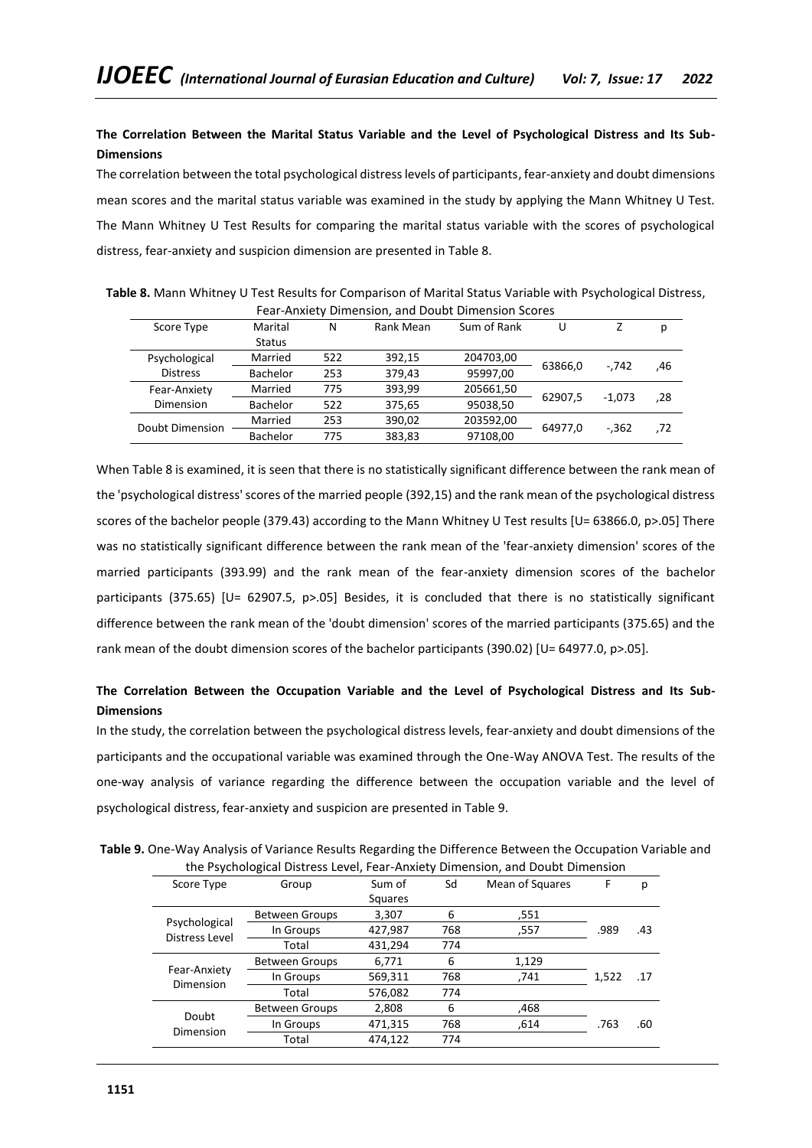# **The Correlation Between the Marital Status Variable and the Level of Psychological Distress and Its Sub-Dimensions**

The correlation between the total psychological distress levels of participants, fear-anxiety and doubt dimensions mean scores and the marital status variable was examined in the study by applying the Mann Whitney U Test. The Mann Whitney U Test Results for comparing the marital status variable with the scores of psychological distress, fear-anxiety and suspicion dimension are presented in Table 8.

| Fear-Anxiety Dimension, and Doubt Dimension Scores |                           |               |             |           |         |          |     |
|----------------------------------------------------|---------------------------|---------------|-------------|-----------|---------|----------|-----|
| Score Type                                         | Rank Mean<br>Marital<br>N |               | Sum of Rank | U         |         | р        |     |
|                                                    | <b>Status</b>             |               |             |           |         |          |     |
| Psychological                                      | Married                   | 522<br>392.15 | 204703,00   |           | $-.742$ |          |     |
| <b>Distress</b>                                    | <b>Bachelor</b>           | 253           | 379,43      | 95997,00  | 63866,0 |          | .46 |
| Fear-Anxiety                                       | Married                   | 775           | 393,99      | 205661,50 | 62907.5 |          |     |
| <b>Dimension</b>                                   | <b>Bachelor</b>           | 522           | 375,65      | 95038,50  |         | $-1.073$ | ,28 |
| Doubt Dimension                                    | Married                   | 253           | 390,02      | 203592,00 | 64977.0 | $-.362$  |     |
|                                                    | <b>Bachelor</b>           | 775           | 383.83      | 97108,00  |         |          | ,72 |

**Table 8.** Mann Whitney U Test Results for Comparison of Marital Status Variable with Psychological Distress, Fear-Anxiety Dimension, and Doubt Dimension Scores

When Table 8 is examined, it is seen that there is no statistically significant difference between the rank mean of the 'psychological distress' scores of the married people (392,15) and the rank mean of the psychological distress scores of the bachelor people (379.43) according to the Mann Whitney U Test results [U= 63866.0, p>.05] There was no statistically significant difference between the rank mean of the 'fear-anxiety dimension' scores of the married participants (393.99) and the rank mean of the fear-anxiety dimension scores of the bachelor participants (375.65) [U= 62907.5, p>.05] Besides, it is concluded that there is no statistically significant difference between the rank mean of the 'doubt dimension' scores of the married participants (375.65) and the rank mean of the doubt dimension scores of the bachelor participants (390.02) [U= 64977.0, p>.05].

# **The Correlation Between the Occupation Variable and the Level of Psychological Distress and Its Sub-Dimensions**

In the study, the correlation between the psychological distress levels, fear-anxiety and doubt dimensions of the participants and the occupational variable was examined through the One-Way ANOVA Test. The results of the one-way analysis of variance regarding the difference between the occupation variable and the level of psychological distress, fear-anxiety and suspicion are presented in Table 9.

**Table 9.** One-Way Analysis of Variance Results Regarding the Difference Between the Occupation Variable and the Psychological Distress Level, Fear-Anxiety Dimension, and Doubt Dimension

| Score Type                      | Group                 | Sd<br>Mean of Squares<br>Sum of |     | F     | р     |     |
|---------------------------------|-----------------------|---------------------------------|-----|-------|-------|-----|
|                                 |                       | Squares                         |     |       |       |     |
|                                 | <b>Between Groups</b> | 3,307                           | 6   | .551  |       |     |
| Psychological<br>Distress Level | In Groups             | 427,987                         | 768 | ,557  | .989  | .43 |
|                                 | Total                 | 431,294                         | 774 |       |       |     |
|                                 | <b>Between Groups</b> | 6,771                           | 6   | 1,129 |       |     |
| Fear-Anxiety                    | In Groups             | 569,311                         | 768 | ,741  | 1,522 | .17 |
| Dimension                       | Total                 | 576,082                         | 774 |       |       |     |
|                                 | <b>Between Groups</b> | 2,808                           | 6   | .468  |       |     |
| Doubt                           | In Groups             | 471,315                         | 768 | .614  | .763  | .60 |
| Dimension                       | Total                 | 474,122                         | 774 |       |       |     |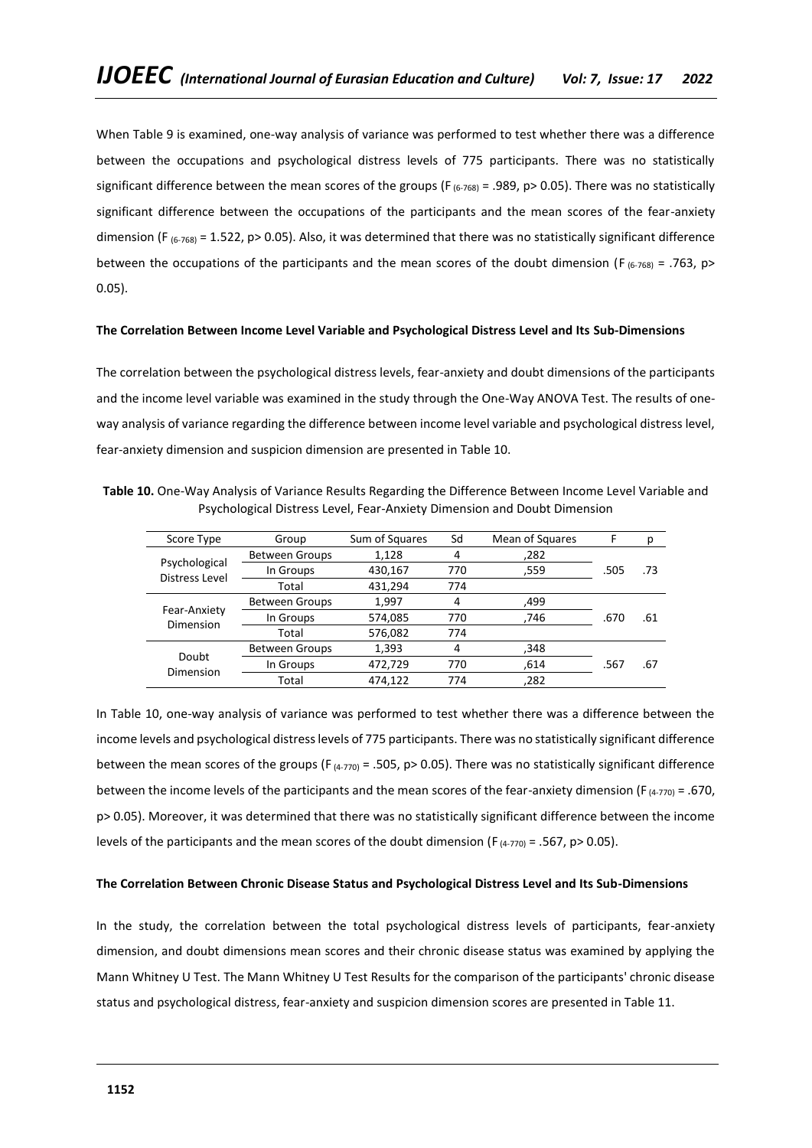When Table 9 is examined, one-way analysis of variance was performed to test whether there was a difference between the occupations and psychological distress levels of 775 participants. There was no statistically significant difference between the mean scores of the groups (F $_{(6-768)}$  = .989, p> 0.05). There was no statistically significant difference between the occupations of the participants and the mean scores of the fear-anxiety dimension (F  $_{(6-768)}$  = 1.522, p> 0.05). Also, it was determined that there was no statistically significant difference between the occupations of the participants and the mean scores of the doubt dimension (F<sub>(6-768)</sub> = .763, p> 0.05).

## **The Correlation Between Income Level Variable and Psychological Distress Level and Its Sub-Dimensions**

The correlation between the psychological distress levels, fear-anxiety and doubt dimensions of the participants and the income level variable was examined in the study through the One-Way ANOVA Test. The results of oneway analysis of variance regarding the difference between income level variable and psychological distress level, fear-anxiety dimension and suspicion dimension are presented in Table 10.

**Table 10.** One-Way Analysis of Variance Results Regarding the Difference Between Income Level Variable and Psychological Distress Level, Fear-Anxiety Dimension and Doubt Dimension

| Score Type                | Group                 | Sum of Squares | Sd  | Mean of Squares | F    | р   |
|---------------------------|-----------------------|----------------|-----|-----------------|------|-----|
|                           | <b>Between Groups</b> | 1.128          | 4   | ,282            |      |     |
| Psychological             | In Groups             | 430,167        | 770 | ,559            | .505 | .73 |
| Distress Level            | Total                 | 431,294        | 774 |                 |      |     |
|                           | <b>Between Groups</b> | 1.997          | 4   | ,499            |      |     |
| Fear-Anxiety<br>Dimension | In Groups             | 574,085        | 770 | .746            | .670 | .61 |
|                           | Total                 | 576,082        | 774 |                 |      |     |
|                           | <b>Between Groups</b> | 1,393          | 4   | ,348            |      |     |
| Doubt<br>Dimension        | In Groups             | 472,729        | 770 | .614            | .567 | .67 |
|                           | Total                 | 474.122        | 774 | .282            |      |     |

In Table 10, one-way analysis of variance was performed to test whether there was a difference between the income levels and psychological distress levels of 775 participants. There was no statistically significant difference between the mean scores of the groups (F  $_{(4-770)}$  = .505, p> 0.05). There was no statistically significant difference between the income levels of the participants and the mean scores of the fear-anxiety dimension (F<sub>(4-770)</sub> = .670, p> 0.05). Moreover, it was determined that there was no statistically significant difference between the income levels of the participants and the mean scores of the doubt dimension (F $_{(4-770)}$  = .567, p> 0.05).

### **The Correlation Between Chronic Disease Status and Psychological Distress Level and Its Sub-Dimensions**

In the study, the correlation between the total psychological distress levels of participants, fear-anxiety dimension, and doubt dimensions mean scores and their chronic disease status was examined by applying the Mann Whitney U Test. The Mann Whitney U Test Results for the comparison of the participants' chronic disease status and psychological distress, fear-anxiety and suspicion dimension scores are presented in Table 11.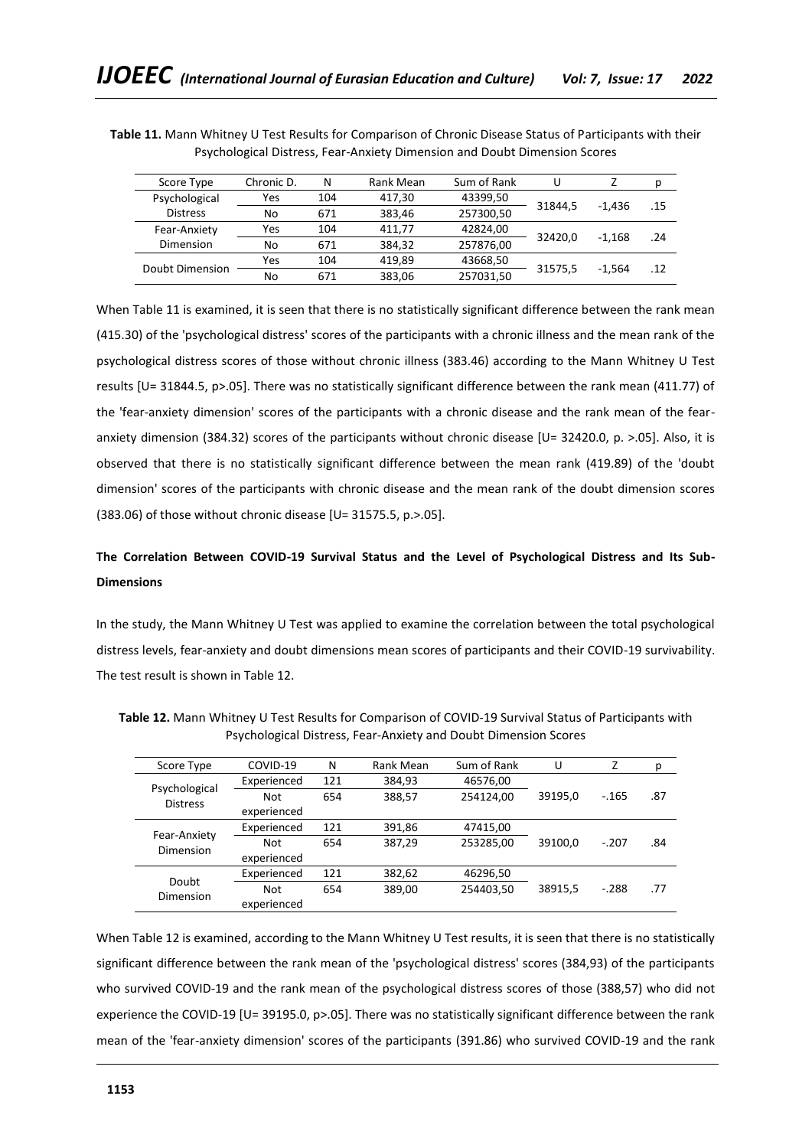| Score Type      | Chronic D. | N   | Rank Mean | Sum of Rank | U                  |                     | р   |
|-----------------|------------|-----|-----------|-------------|--------------------|---------------------|-----|
| Psychological   | Yes        | 104 | 417,30    | 43399,50    |                    | $-1.436$            | .15 |
| <b>Distress</b> | No         | 671 | 383.46    | 257300,50   | 31844.5<br>32420.0 |                     |     |
| Fear-Anxiety    | Yes        | 104 | 411.77    | 42824,00    |                    | $-1.168$            | .24 |
| Dimension       | No         | 671 | 384.32    | 257876,00   |                    |                     |     |
| Doubt Dimension | Yes        | 104 | 419.89    | 43668,50    |                    |                     | .12 |
|                 | No         | 671 | 383,06    | 257031,50   |                    | 31575,5<br>$-1.564$ |     |

**Table 11.** Mann Whitney U Test Results for Comparison of Chronic Disease Status of Participants with their Psychological Distress, Fear-Anxiety Dimension and Doubt Dimension Scores

When Table 11 is examined, it is seen that there is no statistically significant difference between the rank mean (415.30) of the 'psychological distress' scores of the participants with a chronic illness and the mean rank of the psychological distress scores of those without chronic illness (383.46) according to the Mann Whitney U Test results [U= 31844.5, p>.05]. There was no statistically significant difference between the rank mean (411.77) of the 'fear-anxiety dimension' scores of the participants with a chronic disease and the rank mean of the fearanxiety dimension (384.32) scores of the participants without chronic disease [U= 32420.0, p. >.05]. Also, it is observed that there is no statistically significant difference between the mean rank (419.89) of the 'doubt dimension' scores of the participants with chronic disease and the mean rank of the doubt dimension scores (383.06) of those without chronic disease [U= 31575.5, p.>.05].

# **The Correlation Between COVID-19 Survival Status and the Level of Psychological Distress and Its Sub-Dimensions**

In the study, the Mann Whitney U Test was applied to examine the correlation between the total psychological distress levels, fear-anxiety and doubt dimensions mean scores of participants and their COVID-19 survivability. The test result is shown in Table 12.

| Score Type                       | COVID-19    | N   | Rank Mean | Sum of Rank | U       | Z       | р   |
|----------------------------------|-------------|-----|-----------|-------------|---------|---------|-----|
| Psychological<br><b>Distress</b> | Experienced | 121 | 384,93    | 46576,00    |         |         |     |
|                                  | <b>Not</b>  | 654 | 388,57    | 254124,00   | 39195,0 | $-.165$ | .87 |
|                                  | experienced |     |           |             |         |         |     |
| Fear-Anxiety<br>Dimension        | Experienced | 121 | 391,86    | 47415,00    |         |         |     |
|                                  | <b>Not</b>  | 654 | 387.29    | 253285,00   | 39100.0 | $-.207$ | .84 |
|                                  | experienced |     |           |             |         |         |     |
| Doubt                            | Experienced | 121 | 382,62    | 46296,50    |         |         |     |
|                                  | <b>Not</b>  | 654 | 389,00    | 254403,50   | 38915,5 | $-.288$ | .77 |
| Dimension                        | experienced |     |           |             |         |         |     |

**Table 12.** Mann Whitney U Test Results for Comparison of COVID-19 Survival Status of Participants with Psychological Distress, Fear-Anxiety and Doubt Dimension Scores

When Table 12 is examined, according to the Mann Whitney U Test results, it is seen that there is no statistically significant difference between the rank mean of the 'psychological distress' scores (384,93) of the participants who survived COVID-19 and the rank mean of the psychological distress scores of those (388,57) who did not experience the COVID-19 [U= 39195.0, p>.05]. There was no statistically significant difference between the rank mean of the 'fear-anxiety dimension' scores of the participants (391.86) who survived COVID-19 and the rank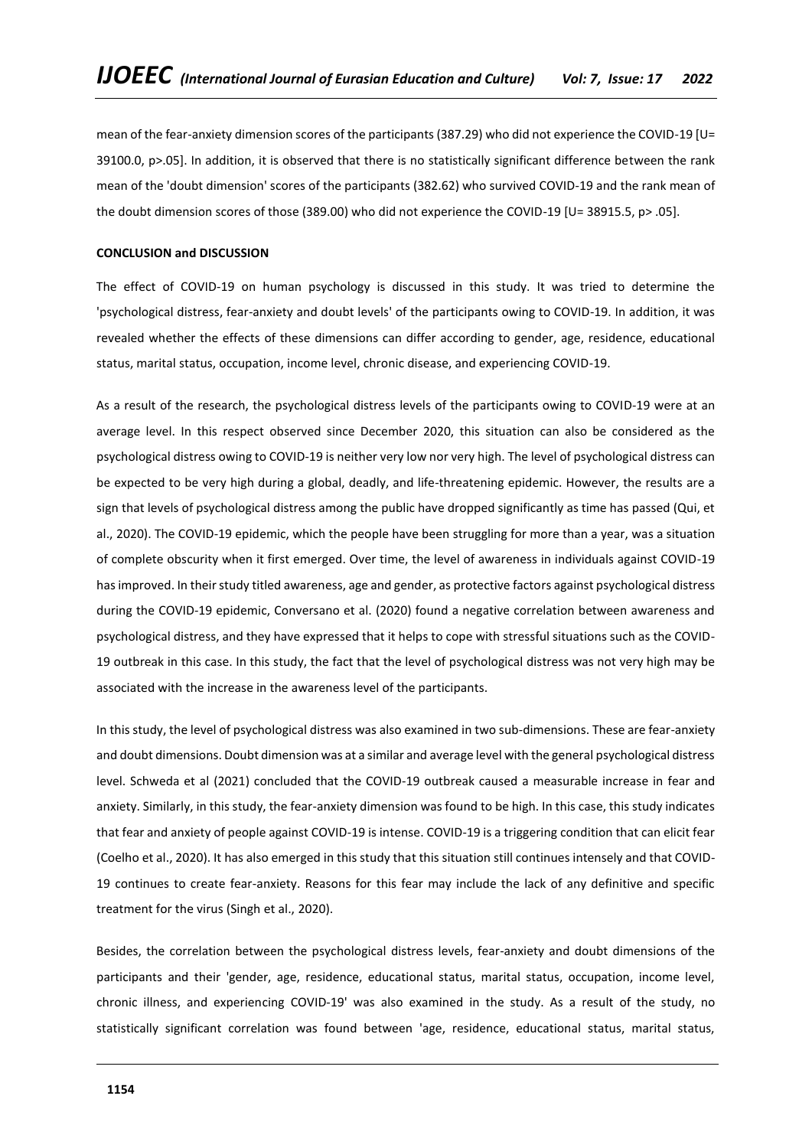mean of the fear-anxiety dimension scores of the participants (387.29) who did not experience the COVID-19 [U= 39100.0, p>.05]. In addition, it is observed that there is no statistically significant difference between the rank mean of the 'doubt dimension' scores of the participants (382.62) who survived COVID-19 and the rank mean of the doubt dimension scores of those (389.00) who did not experience the COVID-19 [U= 38915.5, p> .05].

### **CONCLUSION and DISCUSSION**

The effect of COVID-19 on human psychology is discussed in this study. It was tried to determine the 'psychological distress, fear-anxiety and doubt levels' of the participants owing to COVID-19. In addition, it was revealed whether the effects of these dimensions can differ according to gender, age, residence, educational status, marital status, occupation, income level, chronic disease, and experiencing COVID-19.

As a result of the research, the psychological distress levels of the participants owing to COVID-19 were at an average level. In this respect observed since December 2020, this situation can also be considered as the psychological distress owing to COVID-19 is neither very low nor very high. The level of psychological distress can be expected to be very high during a global, deadly, and life-threatening epidemic. However, the results are a sign that levels of psychological distress among the public have dropped significantly as time has passed (Qui, et al., 2020). The COVID-19 epidemic, which the people have been struggling for more than a year, was a situation of complete obscurity when it first emerged. Over time, the level of awareness in individuals against COVID-19 has improved. In their study titled awareness, age and gender, as protective factors against psychological distress during the COVID-19 epidemic, Conversano et al. (2020) found a negative correlation between awareness and psychological distress, and they have expressed that it helps to cope with stressful situations such as the COVID-19 outbreak in this case. In this study, the fact that the level of psychological distress was not very high may be associated with the increase in the awareness level of the participants.

In this study, the level of psychological distress was also examined in two sub-dimensions. These are fear-anxiety and doubt dimensions. Doubt dimension was at a similar and average level with the general psychological distress level. Schweda et al (2021) concluded that the COVID-19 outbreak caused a measurable increase in fear and anxiety. Similarly, in this study, the fear-anxiety dimension was found to be high. In this case, this study indicates that fear and anxiety of people against COVID-19 is intense. COVID-19 is a triggering condition that can elicit fear (Coelho et al., 2020). It has also emerged in this study that this situation still continues intensely and that COVID-19 continues to create fear-anxiety. Reasons for this fear may include the lack of any definitive and specific treatment for the virus (Singh et al., 2020).

Besides, the correlation between the psychological distress levels, fear-anxiety and doubt dimensions of the participants and their 'gender, age, residence, educational status, marital status, occupation, income level, chronic illness, and experiencing COVID-19' was also examined in the study. As a result of the study, no statistically significant correlation was found between 'age, residence, educational status, marital status,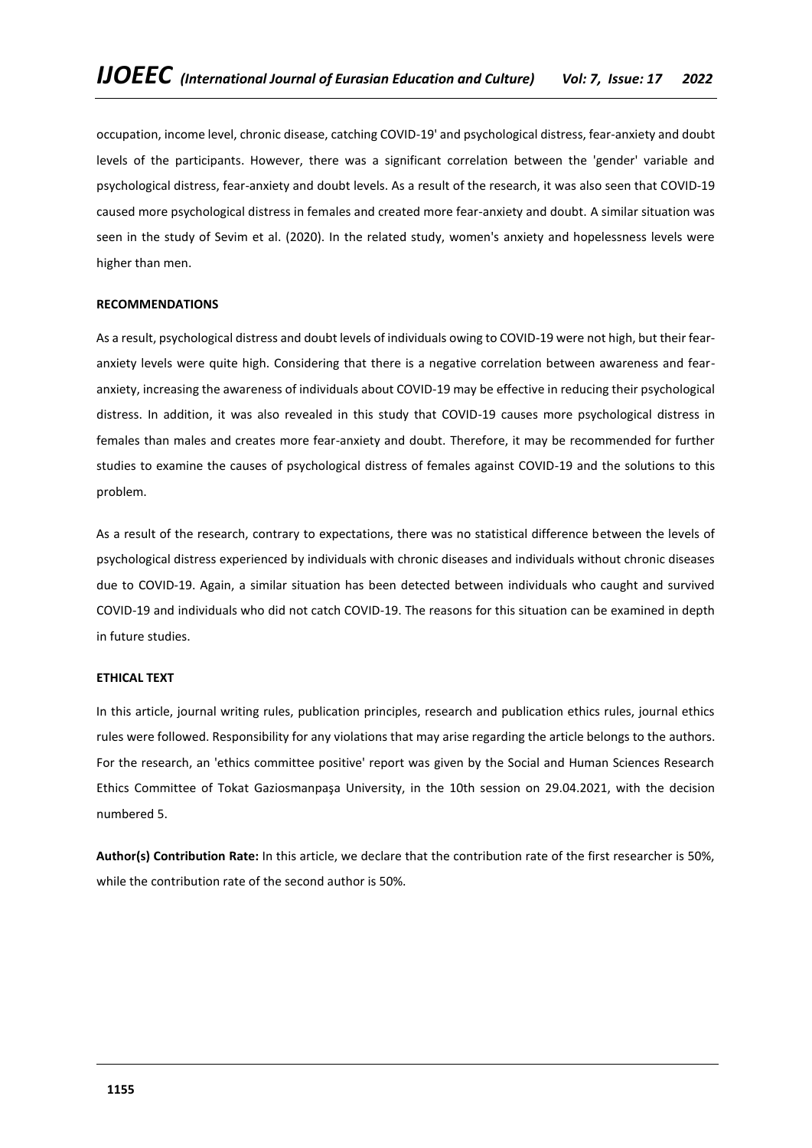occupation, income level, chronic disease, catching COVID-19' and psychological distress, fear-anxiety and doubt levels of the participants. However, there was a significant correlation between the 'gender' variable and psychological distress, fear-anxiety and doubt levels. As a result of the research, it was also seen that COVID-19 caused more psychological distress in females and created more fear-anxiety and doubt. A similar situation was seen in the study of Sevim et al. (2020). In the related study, women's anxiety and hopelessness levels were higher than men.

# **RECOMMENDATIONS**

As a result, psychological distress and doubt levels of individuals owing to COVID-19 were not high, but their fearanxiety levels were quite high. Considering that there is a negative correlation between awareness and fearanxiety, increasing the awareness of individuals about COVID-19 may be effective in reducing their psychological distress. In addition, it was also revealed in this study that COVID-19 causes more psychological distress in females than males and creates more fear-anxiety and doubt. Therefore, it may be recommended for further studies to examine the causes of psychological distress of females against COVID-19 and the solutions to this problem.

As a result of the research, contrary to expectations, there was no statistical difference between the levels of psychological distress experienced by individuals with chronic diseases and individuals without chronic diseases due to COVID-19. Again, a similar situation has been detected between individuals who caught and survived COVID-19 and individuals who did not catch COVID-19. The reasons for this situation can be examined in depth in future studies.

# **ETHICAL TEXT**

In this article, journal writing rules, publication principles, research and publication ethics rules, journal ethics rules were followed. Responsibility for any violations that may arise regarding the article belongs to the authors. For the research, an 'ethics committee positive' report was given by the Social and Human Sciences Research Ethics Committee of Tokat Gaziosmanpaşa University, in the 10th session on 29.04.2021, with the decision numbered 5.

**Author(s) Contribution Rate:** In this article, we declare that the contribution rate of the first researcher is 50%, while the contribution rate of the second author is 50%.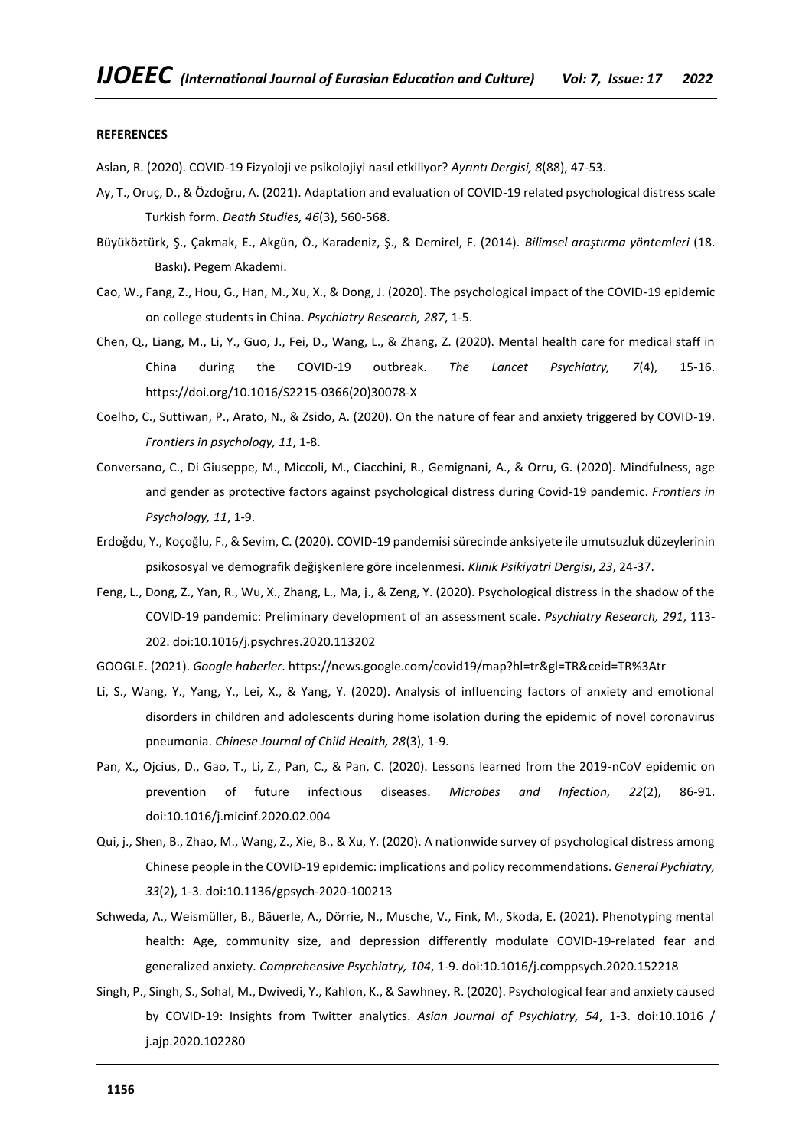#### **REFERENCES**

Aslan, R. (2020). COVID-19 Fizyoloji ve psikolojiyi nasıl etkiliyor? *Ayrıntı Dergisi, 8*(88), 47-53.

- Ay, T., Oruç, D., & Özdoğru, A. (2021). Adaptation and evaluation of COVID-19 related psychological distress scale Turkish form. *Death Studies, 46*(3), 560-568.
- Büyüköztürk, Ş., Çakmak, E., Akgün, Ö., Karadeniz, Ş., & Demirel, F. (2014). *Bilimsel araştırma yöntemleri* (18. Baskı). Pegem Akademi.
- Cao, W., Fang, Z., Hou, G., Han, M., Xu, X., & Dong, J. (2020). The psychological impact of the COVID-19 epidemic on college students in China. *Psychiatry Research, 287*, 1-5.
- Chen, Q., Liang, M., Li, Y., Guo, J., Fei, D., Wang, L., & Zhang, Z. (2020). Mental health care for medical staff in China during the COVID-19 outbreak. *The Lancet Psychiatry, 7*(4), 15-16. https://doi.org/10.1016/S2215-0366(20)30078-X
- Coelho, C., Suttiwan, P., Arato, N., & Zsido, A. (2020). On the nature of fear and anxiety triggered by COVID-19. *Frontiers in psychology, 11*, 1-8.
- Conversano, C., Di Giuseppe, M., Miccoli, M., Ciacchini, R., Gemignani, A., & Orru, G. (2020). Mindfulness, age and gender as protective factors against psychological distress during Covid-19 pandemic. *Frontiers in Psychology, 11*, 1-9.
- Erdoğdu, Y., Koçoğlu, F., & Sevim, C. (2020). COVID-19 pandemisi sürecinde anksiyete ile umutsuzluk düzeylerinin psikososyal ve demografik değişkenlere göre incelenmesi. *Klinik Psikiyatri Dergisi*, *23*, 24-37.
- Feng, L., Dong, Z., Yan, R., Wu, X., Zhang, L., Ma, j., & Zeng, Y. (2020). Psychological distress in the shadow of the COVID-19 pandemic: Preliminary development of an assessment scale. *Psychiatry Research, 291*, 113- 202. doi:10.1016/j.psychres.2020.113202
- GOOGLE. (2021). *Google haberler*. https://news.google.com/covid19/map?hl=tr&gl=TR&ceid=TR%3Atr
- Li, S., Wang, Y., Yang, Y., Lei, X., & Yang, Y. (2020). Analysis of influencing factors of anxiety and emotional disorders in children and adolescents during home isolation during the epidemic of novel coronavirus pneumonia. *Chinese Journal of Child Health, 28*(3), 1-9.
- Pan, X., Ojcius, D., Gao, T., Li, Z., Pan, C., & Pan, C. (2020). Lessons learned from the 2019-nCoV epidemic on prevention of future infectious diseases. *Microbes and Infection, 22*(2), 86-91. doi:10.1016/j.micinf.2020.02.004
- Qui, j., Shen, B., Zhao, M., Wang, Z., Xie, B., & Xu, Y. (2020). A nationwide survey of psychological distress among Chinese people in the COVID-19 epidemic: implications and policy recommendations. *General Pychiatry, 33*(2), 1-3. doi:10.1136/gpsych-2020-100213
- Schweda, A., Weismüller, B., Bäuerle, A., Dörrie, N., Musche, V., Fink, M., Skoda, E. (2021). Phenotyping mental health: Age, community size, and depression differently modulate COVID-19-related fear and generalized anxiety. *Comprehensive Psychiatry, 104*, 1-9. doi:10.1016/j.comppsych.2020.152218
- Singh, P., Singh, S., Sohal, M., Dwivedi, Y., Kahlon, K., & Sawhney, R. (2020). Psychological fear and anxiety caused by COVID-19: Insights from Twitter analytics. *Asian Journal of Psychiatry, 54*, 1-3. doi:10.1016 / j.ajp.2020.102280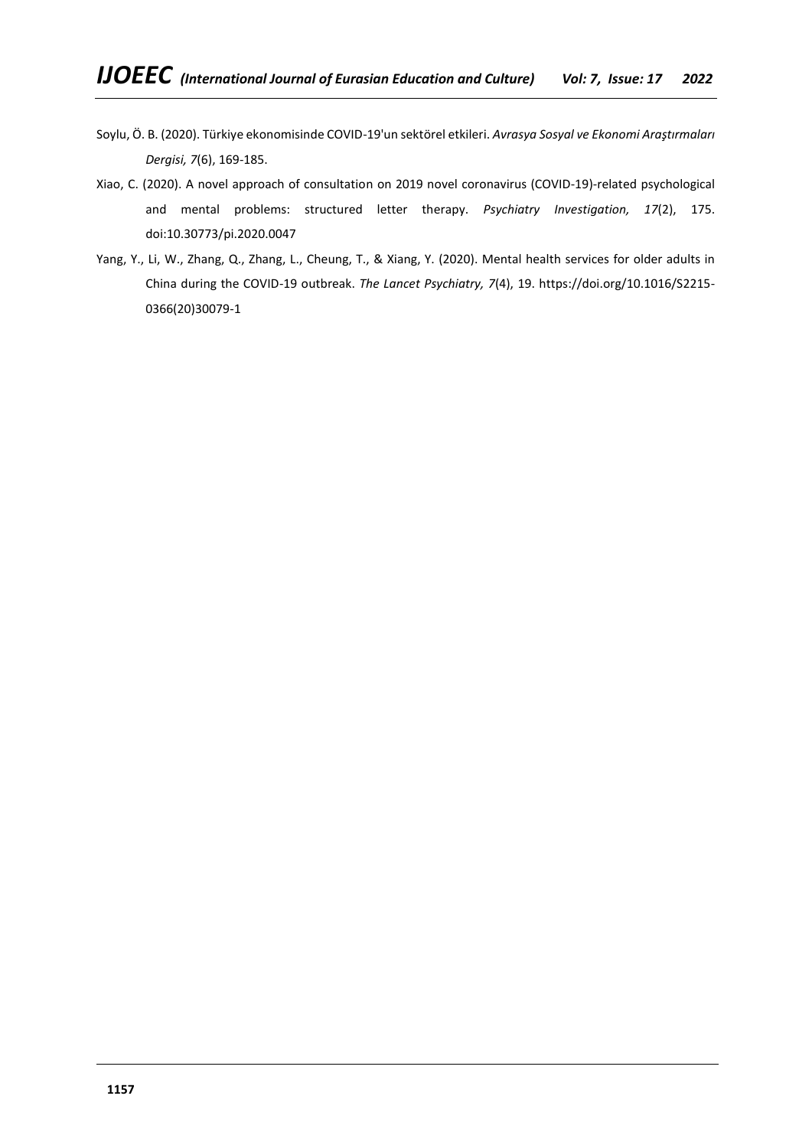- Soylu, Ö. B. (2020). Türkiye ekonomisinde COVID-19'un sektörel etkileri. *Avrasya Sosyal ve Ekonomi Araştırmaları Dergisi, 7*(6), 169-185.
- Xiao, C. (2020). A novel approach of consultation on 2019 novel coronavirus (COVID-19)-related psychological and mental problems: structured letter therapy. *Psychiatry Investigation, 17*(2), 175. doi:10.30773/pi.2020.0047
- Yang, Y., Li, W., Zhang, Q., Zhang, L., Cheung, T., & Xiang, Y. (2020). Mental health services for older adults in China during the COVID-19 outbreak. *The Lancet Psychiatry, 7*(4), 19. https://doi.org/10.1016/S2215- 0366(20)30079-1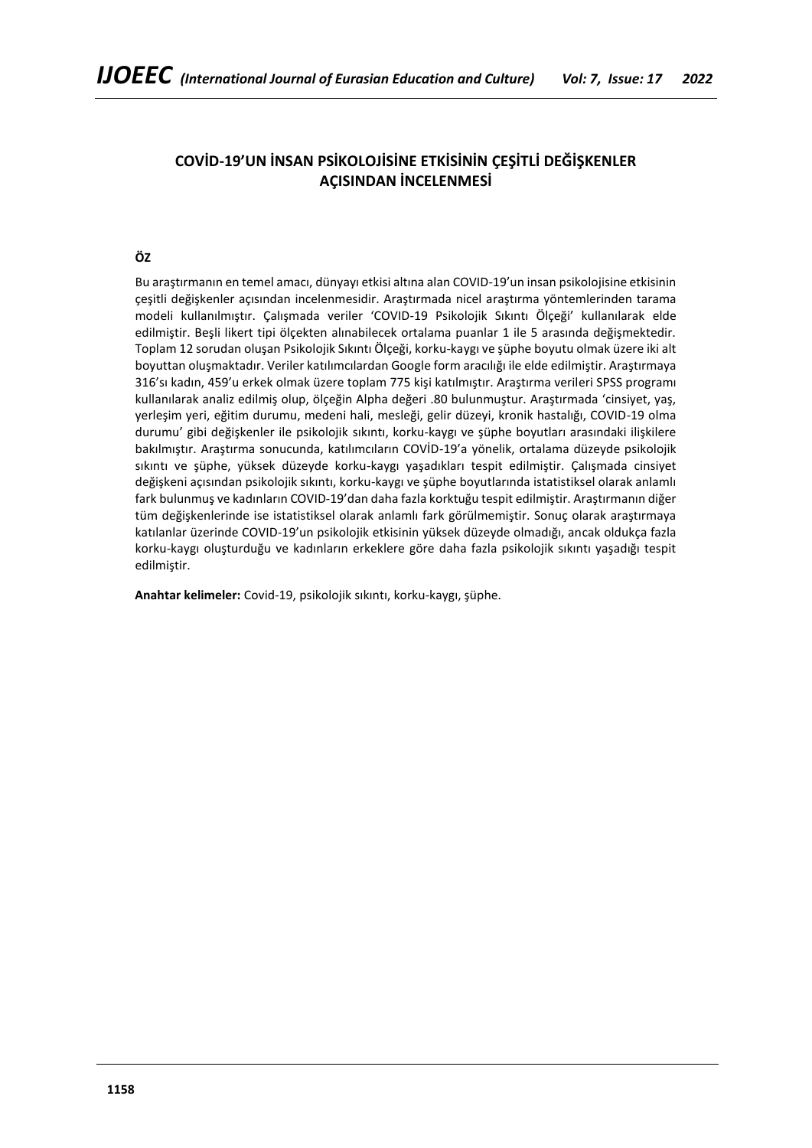# **COVİD-19'UN İNSAN PSİKOLOJİSİNE ETKİSİNİN ÇEŞİTLİ DEĞİŞKENLER AÇISINDAN İNCELENMESİ**

# **ÖZ**

Bu araştırmanın en temel amacı, dünyayı etkisi altına alan COVID-19'un insan psikolojisine etkisinin çeşitli değişkenler açısından incelenmesidir. Araştırmada nicel araştırma yöntemlerinden tarama modeli kullanılmıştır. Çalışmada veriler 'COVID-19 Psikolojik Sıkıntı Ölçeği' kullanılarak elde edilmiştir. Beşli likert tipi ölçekten alınabilecek ortalama puanlar 1 ile 5 arasında değişmektedir. Toplam 12 sorudan oluşan Psikolojik Sıkıntı Ölçeği, korku-kaygı ve şüphe boyutu olmak üzere iki alt boyuttan oluşmaktadır. Veriler katılımcılardan Google form aracılığı ile elde edilmiştir. Araştırmaya 316'sı kadın, 459'u erkek olmak üzere toplam 775 kişi katılmıştır. Araştırma verileri SPSS programı kullanılarak analiz edilmiş olup, ölçeğin Alpha değeri .80 bulunmuştur. Araştırmada 'cinsiyet, yaş, yerleşim yeri, eğitim durumu, medeni hali, mesleği, gelir düzeyi, kronik hastalığı, COVID-19 olma durumu' gibi değişkenler ile psikolojik sıkıntı, korku-kaygı ve şüphe boyutları arasındaki ilişkilere bakılmıştır. Araştırma sonucunda, katılımcıların COVİD-19'a yönelik, ortalama düzeyde psikolojik sıkıntı ve şüphe, yüksek düzeyde korku-kaygı yaşadıkları tespit edilmiştir. Çalışmada cinsiyet değişkeni açısından psikolojik sıkıntı, korku-kaygı ve şüphe boyutlarında istatistiksel olarak anlamlı fark bulunmuş ve kadınların COVID-19'dan daha fazla korktuğu tespit edilmiştir. Araştırmanın diğer tüm değişkenlerinde ise istatistiksel olarak anlamlı fark görülmemiştir. Sonuç olarak araştırmaya katılanlar üzerinde COVID-19'un psikolojik etkisinin yüksek düzeyde olmadığı, ancak oldukça fazla korku-kaygı oluşturduğu ve kadınların erkeklere göre daha fazla psikolojik sıkıntı yaşadığı tespit edilmiştir.

**Anahtar kelimeler:** Covid-19, psikolojik sıkıntı, korku-kaygı, şüphe.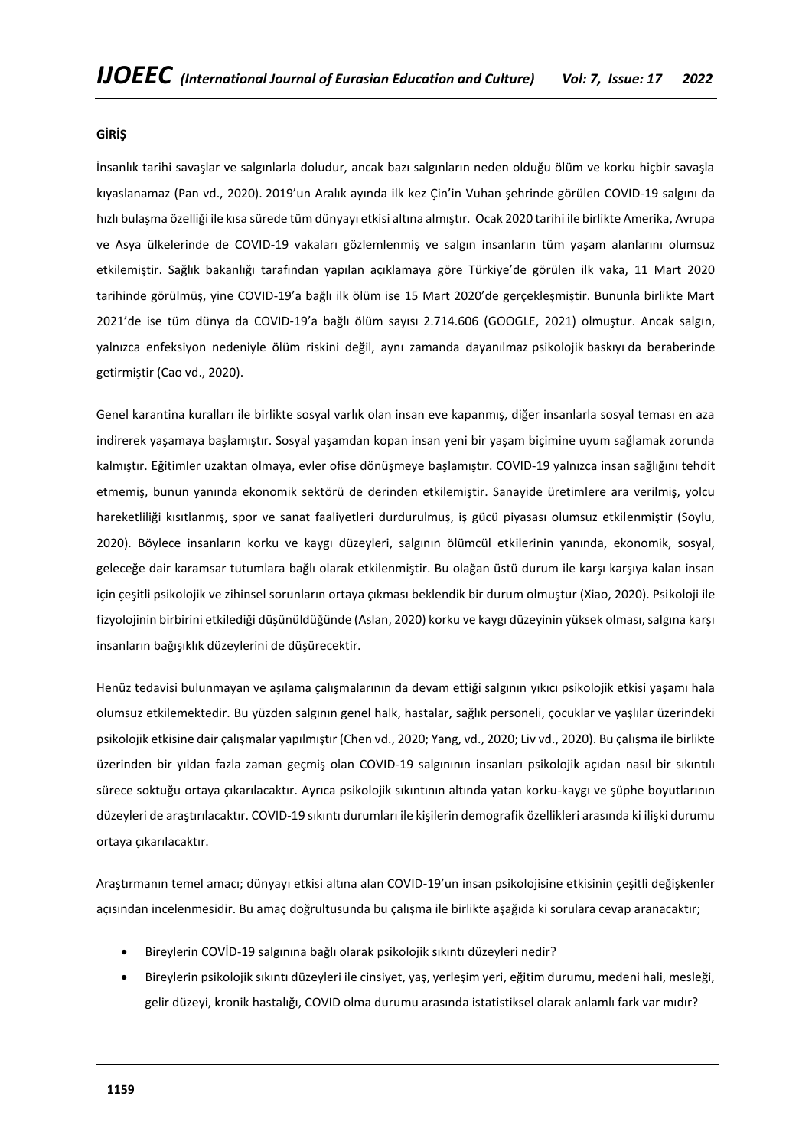# **GİRİŞ**

İnsanlık tarihi savaşlar ve salgınlarla doludur, ancak bazı salgınların neden olduğu ölüm ve korku hiçbir savaşla kıyaslanamaz (Pan vd., 2020). 2019'un Aralık ayında ilk kez Çin'in Vuhan şehrinde görülen COVID-19 salgını da hızlı bulaşma özelliği ile kısa sürede tüm dünyayı etkisi altına almıştır. Ocak 2020 tarihi ile birlikte Amerika, Avrupa ve Asya ülkelerinde de COVID-19 vakaları gözlemlenmiş ve salgın insanların tüm yaşam alanlarını olumsuz etkilemiştir. Sağlık bakanlığı tarafından yapılan açıklamaya göre Türkiye'de görülen ilk vaka, 11 Mart 2020 tarihinde görülmüş, yine COVID-19'a bağlı ilk ölüm ise 15 Mart 2020'de gerçekleşmiştir. Bununla birlikte Mart 2021'de ise tüm dünya da COVID-19'a bağlı ölüm sayısı 2.714.606 (GOOGLE, 2021) olmuştur. Ancak salgın, yalnızca enfeksiyon nedeniyle ölüm riskini değil, aynı zamanda dayanılmaz psikolojik baskıyı da beraberinde getirmiştir (Cao vd., 2020).

Genel karantina kuralları ile birlikte sosyal varlık olan insan eve kapanmış, diğer insanlarla sosyal teması en aza indirerek yaşamaya başlamıştır. Sosyal yaşamdan kopan insan yeni bir yaşam biçimine uyum sağlamak zorunda kalmıştır. Eğitimler uzaktan olmaya, evler ofise dönüşmeye başlamıştır. COVID-19 yalnızca insan sağlığını tehdit etmemiş, bunun yanında ekonomik sektörü de derinden etkilemiştir. Sanayide üretimlere ara verilmiş, yolcu hareketliliği kısıtlanmış, spor ve sanat faaliyetleri durdurulmuş, iş gücü piyasası olumsuz etkilenmiştir (Soylu, 2020). Böylece insanların korku ve kaygı düzeyleri, salgının ölümcül etkilerinin yanında, ekonomik, sosyal, geleceğe dair karamsar tutumlara bağlı olarak etkilenmiştir. Bu olağan üstü durum ile karşı karşıya kalan insan için çeşitli psikolojik ve zihinsel sorunların ortaya çıkması beklendik bir durum olmuştur (Xiao, 2020). Psikoloji ile fizyolojinin birbirini etkilediği düşünüldüğünde (Aslan, 2020) korku ve kaygı düzeyinin yüksek olması, salgına karşı insanların bağışıklık düzeylerini de düşürecektir.

Henüz tedavisi bulunmayan ve aşılama çalışmalarının da devam ettiği salgının yıkıcı psikolojik etkisi yaşamı hala olumsuz etkilemektedir. Bu yüzden salgının genel halk, hastalar, sağlık personeli, çocuklar ve yaşlılar üzerindeki psikolojik etkisine dair çalışmalar yapılmıştır (Chen vd., 2020; Yang, vd., 2020; Liv vd., 2020). Bu çalışma ile birlikte üzerinden bir yıldan fazla zaman geçmiş olan COVID-19 salgınının insanları psikolojik açıdan nasıl bir sıkıntılı sürece soktuğu ortaya çıkarılacaktır. Ayrıca psikolojik sıkıntının altında yatan korku-kaygı ve şüphe boyutlarının düzeyleri de araştırılacaktır. COVID-19 sıkıntı durumları ile kişilerin demografik özellikleri arasında ki ilişki durumu ortaya çıkarılacaktır.

Araştırmanın temel amacı; dünyayı etkisi altına alan COVID-19'un insan psikolojisine etkisinin çeşitli değişkenler açısından incelenmesidir. Bu amaç doğrultusunda bu çalışma ile birlikte aşağıda ki sorulara cevap aranacaktır;

- Bireylerin COVİD-19 salgınına bağlı olarak psikolojik sıkıntı düzeyleri nedir?
- Bireylerin psikolojik sıkıntı düzeyleri ile cinsiyet, yaş, yerleşim yeri, eğitim durumu, medeni hali, mesleği, gelir düzeyi, kronik hastalığı, COVID olma durumu arasında istatistiksel olarak anlamlı fark var mıdır?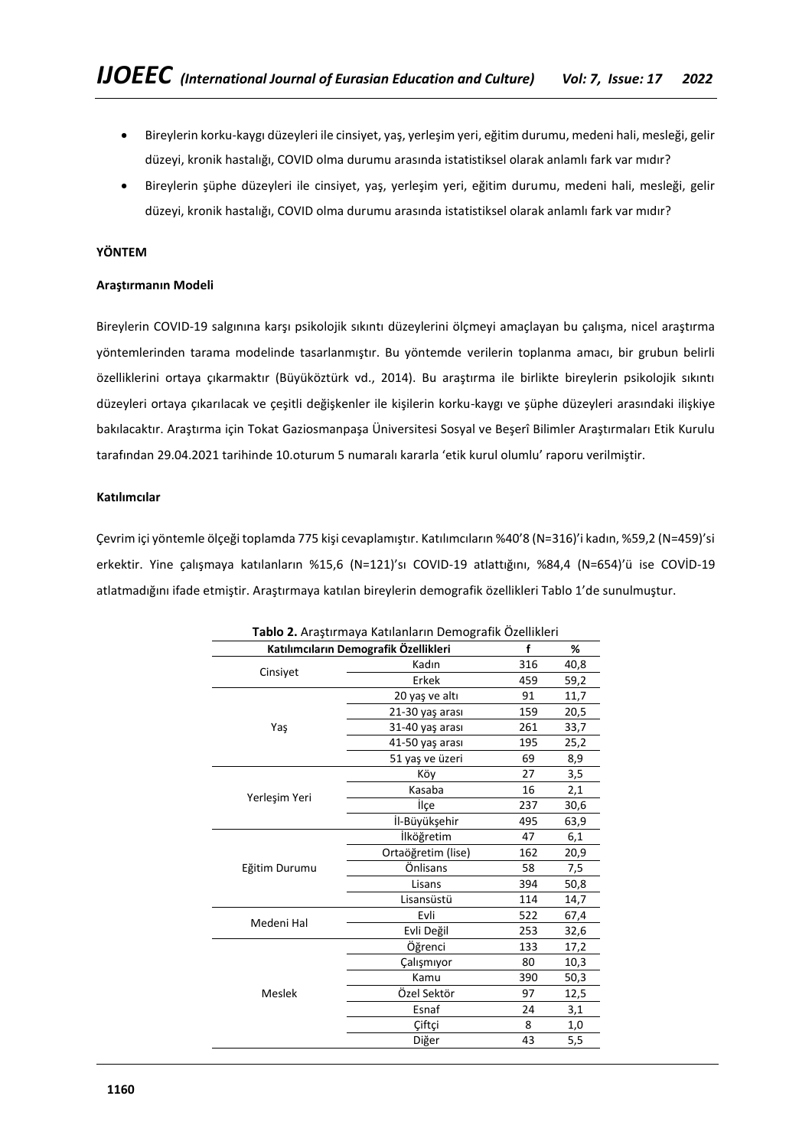- Bireylerin korku-kaygı düzeyleri ile cinsiyet, yaş, yerleşim yeri, eğitim durumu, medeni hali, mesleği, gelir düzeyi, kronik hastalığı, COVID olma durumu arasında istatistiksel olarak anlamlı fark var mıdır?
- Bireylerin şüphe düzeyleri ile cinsiyet, yaş, yerleşim yeri, eğitim durumu, medeni hali, mesleği, gelir düzeyi, kronik hastalığı, COVID olma durumu arasında istatistiksel olarak anlamlı fark var mıdır?

# **YÖNTEM**

# **Araştırmanın Modeli**

Bireylerin COVID-19 salgınına karşı psikolojik sıkıntı düzeylerini ölçmeyi amaçlayan bu çalışma, nicel araştırma yöntemlerinden tarama modelinde tasarlanmıştır. Bu yöntemde verilerin toplanma amacı, bir grubun belirli özelliklerini ortaya çıkarmaktır (Büyüköztürk vd., 2014). Bu araştırma ile birlikte bireylerin psikolojik sıkıntı düzeyleri ortaya çıkarılacak ve çeşitli değişkenler ile kişilerin korku-kaygı ve şüphe düzeyleri arasındaki ilişkiye bakılacaktır. Araştırma için Tokat Gaziosmanpaşa Üniversitesi Sosyal ve Beşerî Bilimler Araştırmaları Etik Kurulu tarafından 29.04.2021 tarihinde 10.oturum 5 numaralı kararla 'etik kurul olumlu' raporu verilmiştir.

# **Katılımcılar**

Çevrim içi yöntemle ölçeği toplamda 775 kişi cevaplamıştır. Katılımcıların %40'8 (N=316)'i kadın, %59,2 (N=459)'si erkektir. Yine çalışmaya katılanların %15,6 (N=121)'sı COVID-19 atlattığını, %84,4 (N=654)'ü ise COVİD-19 atlatmadığını ifade etmiştir. Araştırmaya katılan bireylerin demografik özellikleri Tablo 1'de sunulmuştur.

| Tablo 2. Araştırmaya Katılanların Demografik Özellikleri |                                                                                        |                                                                                                                                                          |      |  |  |  |
|----------------------------------------------------------|----------------------------------------------------------------------------------------|----------------------------------------------------------------------------------------------------------------------------------------------------------|------|--|--|--|
| Katılımcıların Demografik Özellikleri<br>%<br>f          |                                                                                        |                                                                                                                                                          |      |  |  |  |
|                                                          | Kadın                                                                                  | 316                                                                                                                                                      | 40,8 |  |  |  |
| Cinsiyet                                                 | Erkek                                                                                  | 459<br>91<br>159<br>261<br>195<br>69<br>27<br>16<br>237<br>495<br>47<br>162<br>58<br>394<br>114<br>522<br>253<br>133<br>80<br>390<br>97<br>24<br>8<br>43 | 59,2 |  |  |  |
|                                                          | 20 yaş ve altı                                                                         |                                                                                                                                                          | 11,7 |  |  |  |
|                                                          | 21-30 yaş arası                                                                        |                                                                                                                                                          | 20,5 |  |  |  |
| Yaş                                                      | 31-40 yaş arası                                                                        |                                                                                                                                                          | 33,7 |  |  |  |
|                                                          | 41-50 yaş arası                                                                        |                                                                                                                                                          | 25,2 |  |  |  |
|                                                          | 51 yaş ve üzeri                                                                        |                                                                                                                                                          | 8,9  |  |  |  |
|                                                          | Köy                                                                                    |                                                                                                                                                          | 3,5  |  |  |  |
| Yerleşim Yeri                                            | Kasaba                                                                                 |                                                                                                                                                          | 2,1  |  |  |  |
|                                                          | ilçe                                                                                   |                                                                                                                                                          | 30,6 |  |  |  |
|                                                          | İl-Büyükşehir                                                                          |                                                                                                                                                          | 63,9 |  |  |  |
|                                                          | İlköğretim                                                                             |                                                                                                                                                          | 6,1  |  |  |  |
|                                                          | Ortaöğretim (lise)                                                                     |                                                                                                                                                          | 20,9 |  |  |  |
| Eğitim Durumu                                            | Önlisans                                                                               |                                                                                                                                                          | 7,5  |  |  |  |
|                                                          | Lisans                                                                                 |                                                                                                                                                          | 50,8 |  |  |  |
|                                                          | Lisansüstü                                                                             |                                                                                                                                                          | 14,7 |  |  |  |
| Medeni Hal                                               | Evli                                                                                   |                                                                                                                                                          | 67,4 |  |  |  |
|                                                          | Evli Değil<br>Öğrenci<br>Çalışmıyor<br>Kamu<br>Özel Sektör<br>Esnaf<br>Ciftçi<br>Diğer | 32,6                                                                                                                                                     |      |  |  |  |
|                                                          |                                                                                        |                                                                                                                                                          | 17,2 |  |  |  |
|                                                          |                                                                                        |                                                                                                                                                          | 10,3 |  |  |  |
|                                                          |                                                                                        |                                                                                                                                                          | 50,3 |  |  |  |
| Meslek                                                   |                                                                                        |                                                                                                                                                          | 12,5 |  |  |  |
|                                                          |                                                                                        |                                                                                                                                                          | 3,1  |  |  |  |
|                                                          |                                                                                        |                                                                                                                                                          | 1,0  |  |  |  |
|                                                          |                                                                                        |                                                                                                                                                          |      |  |  |  |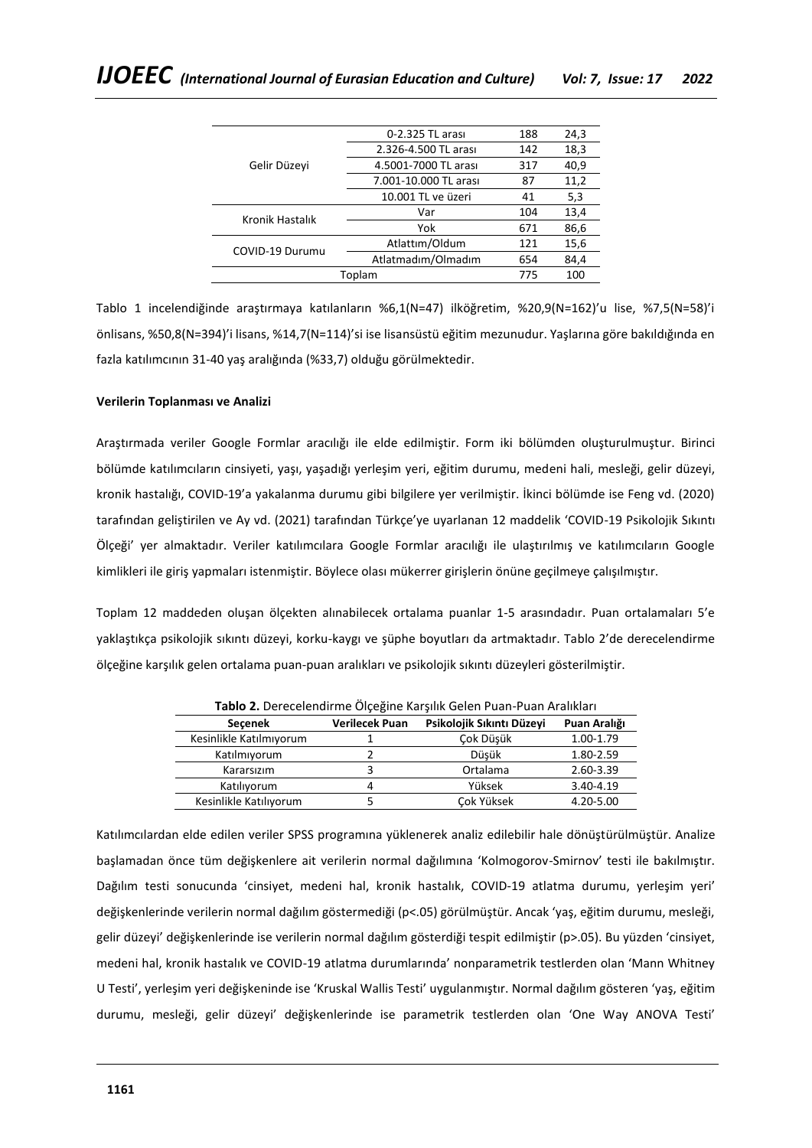|                                 | 0-2.325 TL arası      | 188 | 24,3 |
|---------------------------------|-----------------------|-----|------|
| Gelir Düzeyi<br>Kronik Hastalık | 2.326-4.500 TL arası  | 142 | 18,3 |
|                                 | 4.5001-7000 TL arası  | 317 | 40,9 |
|                                 | 7.001-10.000 TL arası | 87  | 11,2 |
|                                 | 10.001 TL ve üzeri    | 41  | 5,3  |
|                                 | Var                   | 104 | 13,4 |
|                                 | Yok                   | 671 | 86,6 |
| COVID-19 Durumu                 | Atlattım/Oldum        | 121 | 15,6 |
|                                 | Atlatmadım/Olmadım    | 654 | 84,4 |
|                                 | Toplam                | 775 | 100  |

Tablo 1 incelendiğinde araştırmaya katılanların %6,1(N=47) ilköğretim, %20,9(N=162)'u lise, %7,5(N=58)'i önlisans, %50,8(N=394)'i lisans, %14,7(N=114)'si ise lisansüstü eğitim mezunudur. Yaşlarına göre bakıldığında en fazla katılımcının 31-40 yaş aralığında (%33,7) olduğu görülmektedir.

# **Verilerin Toplanması ve Analizi**

Araştırmada veriler Google Formlar aracılığı ile elde edilmiştir. Form iki bölümden oluşturulmuştur. Birinci bölümde katılımcıların cinsiyeti, yaşı, yaşadığı yerleşim yeri, eğitim durumu, medeni hali, mesleği, gelir düzeyi, kronik hastalığı, COVID-19'a yakalanma durumu gibi bilgilere yer verilmiştir. İkinci bölümde ise Feng vd. (2020) tarafından geliştirilen ve Ay vd. (2021) tarafından Türkçe'ye uyarlanan 12 maddelik 'COVID-19 Psikolojik Sıkıntı Ölçeği' yer almaktadır. Veriler katılımcılara Google Formlar aracılığı ile ulaştırılmış ve katılımcıların Google kimlikleri ile giriş yapmaları istenmiştir. Böylece olası mükerrer girişlerin önüne geçilmeye çalışılmıştır.

Toplam 12 maddeden oluşan ölçekten alınabilecek ortalama puanlar 1-5 arasındadır. Puan ortalamaları 5'e yaklaştıkça psikolojik sıkıntı düzeyi, korku-kaygı ve şüphe boyutları da artmaktadır. Tablo 2'de derecelendirme ölçeğine karşılık gelen ortalama puan-puan aralıkları ve psikolojik sıkıntı düzeyleri gösterilmiştir.

| <b>Tablo 2.</b> Defection the Olçegine Karşılık Gelen Puan-Puan Aralıkları |                       |                           |              |  |  |  |
|----------------------------------------------------------------------------|-----------------------|---------------------------|--------------|--|--|--|
| <b>Secenek</b>                                                             | <b>Verilecek Puan</b> | Psikolojik Sıkıntı Düzeyi | Puan Aralığı |  |  |  |
| Kesinlikle Katılmıyorum                                                    |                       | Çok Düşük                 | 1.00-1.79    |  |  |  |
| Katılmıyorum                                                               |                       | Düsük                     | 1.80-2.59    |  |  |  |
| Kararsızım                                                                 |                       | Ortalama                  | 2.60-3.39    |  |  |  |
| Katılıyorum                                                                | 4                     | Yüksek                    | 3.40-4.19    |  |  |  |
| Kesinlikle Katılıyorum                                                     |                       | Cok Yüksek                | 4.20-5.00    |  |  |  |

**Tablo 2.** Derecelendirme Ölçeğine Karşılık Gelen Puan-Puan Aralıkları

Katılımcılardan elde edilen veriler SPSS programına yüklenerek analiz edilebilir hale dönüştürülmüştür. Analize başlamadan önce tüm değişkenlere ait verilerin normal dağılımına 'Kolmogorov-Smirnov' testi ile bakılmıştır. Dağılım testi sonucunda 'cinsiyet, medeni hal, kronik hastalık, COVID-19 atlatma durumu, yerleşim yeri' değişkenlerinde verilerin normal dağılım göstermediği (p<.05) görülmüştür. Ancak 'yaş, eğitim durumu, mesleği, gelir düzeyi' değişkenlerinde ise verilerin normal dağılım gösterdiği tespit edilmiştir (p>.05). Bu yüzden 'cinsiyet, medeni hal, kronik hastalık ve COVID-19 atlatma durumlarında' nonparametrik testlerden olan 'Mann Whitney U Testi', yerleşim yeri değişkeninde ise 'Kruskal Wallis Testi' uygulanmıştır. Normal dağılım gösteren 'yaş, eğitim durumu, mesleği, gelir düzeyi' değişkenlerinde ise parametrik testlerden olan 'One Way ANOVA Testi'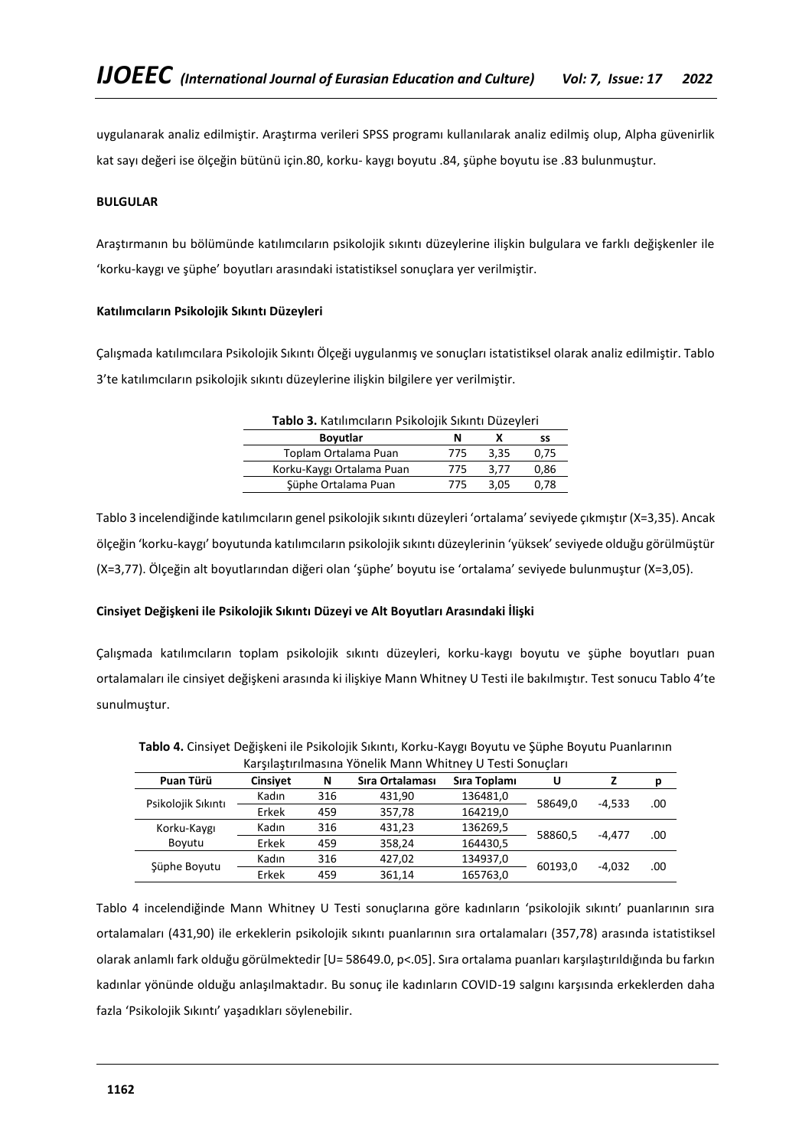uygulanarak analiz edilmiştir. Araştırma verileri SPSS programı kullanılarak analiz edilmiş olup, Alpha güvenirlik kat sayı değeri ise ölçeğin bütünü için.80, korku- kaygı boyutu .84, şüphe boyutu ise .83 bulunmuştur.

# **BULGULAR**

Araştırmanın bu bölümünde katılımcıların psikolojik sıkıntı düzeylerine ilişkin bulgulara ve farklı değişkenler ile 'korku-kaygı ve şüphe' boyutları arasındaki istatistiksel sonuçlara yer verilmiştir.

### **Katılımcıların Psikolojik Sıkıntı Düzeyleri**

Çalışmada katılımcılara Psikolojik Sıkıntı Ölçeği uygulanmış ve sonuçları istatistiksel olarak analiz edilmiştir. Tablo 3'te katılımcıların psikolojik sıkıntı düzeylerine ilişkin bilgilere yer verilmiştir.

|--|

| <b>Boyutlar</b>           |     |      | SS   |
|---------------------------|-----|------|------|
| Toplam Ortalama Puan      | 775 | 3.35 | 0.75 |
| Korku-Kaygı Ortalama Puan | 775 | 3.77 | 0,86 |
| Süphe Ortalama Puan       | 775 | 3.05 | 0.78 |

Tablo 3 incelendiğinde katılımcıların genel psikolojik sıkıntı düzeyleri 'ortalama' seviyede çıkmıştır (X=3,35). Ancak ölçeğin 'korku-kaygı' boyutunda katılımcıların psikolojik sıkıntı düzeylerinin 'yüksek' seviyede olduğu görülmüştür (X=3,77). Ölçeğin alt boyutlarından diğeri olan 'şüphe' boyutu ise 'ortalama' seviyede bulunmuştur (X=3,05).

### **Cinsiyet Değişkeni ile Psikolojik Sıkıntı Düzeyi ve Alt Boyutları Arasındaki İlişki**

Çalışmada katılımcıların toplam psikolojik sıkıntı düzeyleri, korku-kaygı boyutu ve şüphe boyutları puan ortalamaları ile cinsiyet değişkeni arasında ki ilişkiye Mann Whitney U Testi ile bakılmıştır. Test sonucu Tablo 4'te sunulmuştur.

| Puan Türü          | <b>Cinsivet</b> | N   | Sıra Ortalaması | Sıra Toplamı | U                   |          | D   |
|--------------------|-----------------|-----|-----------------|--------------|---------------------|----------|-----|
| Psikolojik Sıkıntı | Kadın           | 316 | 431.90          | 136481,0     | 58649.0<br>$-4.533$ |          |     |
|                    | Erkek           | 459 | 357.78          | 164219.0     |                     |          | .00 |
| Korku-Kaygı        | Kadın           | 316 | 431.23          | 136269,5     | 58860,5             | $-4.477$ | .00 |
| Boyutu             | Erkek           | 459 | 358,24          | 164430,5     |                     |          |     |
| Şüphe Boyutu       | Kadın           | 316 | 427.02          | 134937,0     |                     |          |     |
|                    | Erkek           | 459 | 361,14          | 165763,0     | 60193,0             | $-4.032$ | .00 |

**Tablo 4.** Cinsiyet Değişkeni ile Psikolojik Sıkıntı, Korku-Kaygı Boyutu ve Şüphe Boyutu Puanlarının Karşılaştırılmasına Yönelik Mann Whitney U Testi Sonuçları

Tablo 4 incelendiğinde Mann Whitney U Testi sonuçlarına göre kadınların 'psikolojik sıkıntı' puanlarının sıra ortalamaları (431,90) ile erkeklerin psikolojik sıkıntı puanlarının sıra ortalamaları (357,78) arasında istatistiksel olarak anlamlı fark olduğu görülmektedir [U= 58649.0, p<.05]. Sıra ortalama puanları karşılaştırıldığında bu farkın kadınlar yönünde olduğu anlaşılmaktadır. Bu sonuç ile kadınların COVID-19 salgını karşısında erkeklerden daha fazla 'Psikolojik Sıkıntı' yaşadıkları söylenebilir.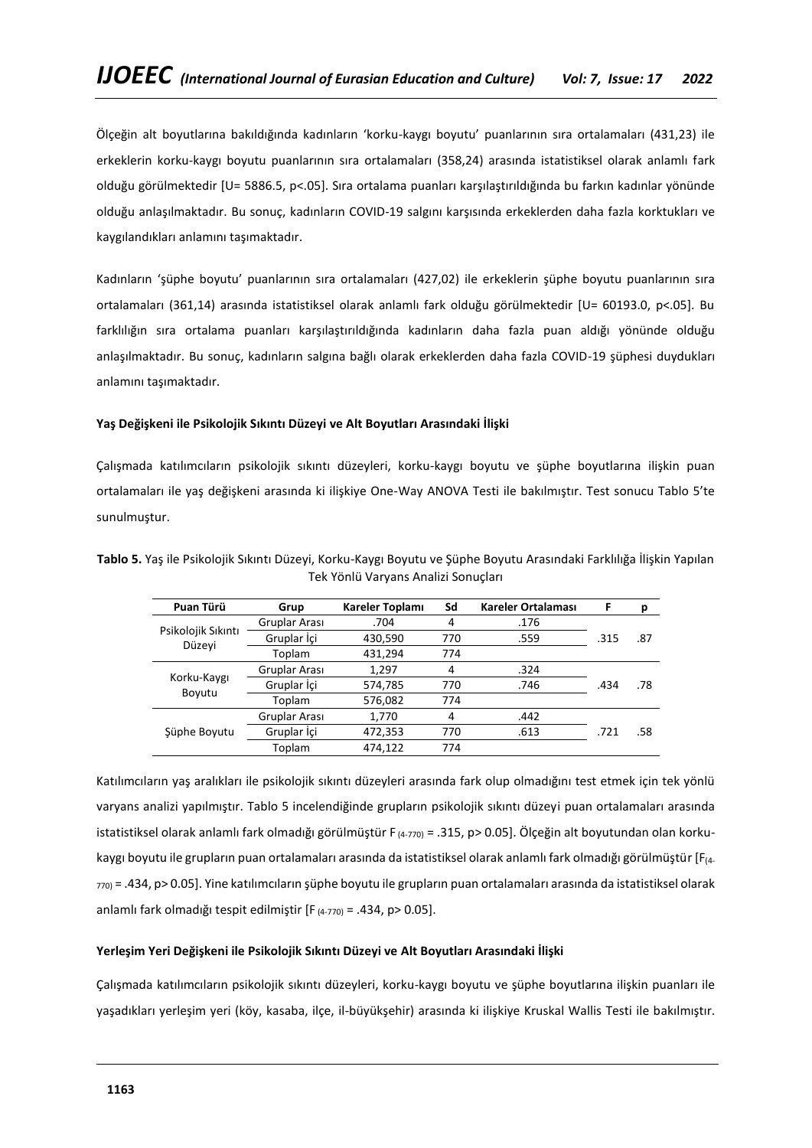Ölçeğin alt boyutlarına bakıldığında kadınların 'korku-kaygı boyutu' puanlarının sıra ortalamaları (431,23) ile erkeklerin korku-kaygı boyutu puanlarının sıra ortalamaları (358,24) arasında istatistiksel olarak anlamlı fark olduğu görülmektedir [U= 5886.5, p<.05]. Sıra ortalama puanları karşılaştırıldığında bu farkın kadınlar yönünde olduğu anlaşılmaktadır. Bu sonuç, kadınların COVID-19 salgını karşısında erkeklerden daha fazla korktukları ve kaygılandıkları anlamını taşımaktadır.

Kadınların 'şüphe boyutu' puanlarının sıra ortalamaları (427,02) ile erkeklerin şüphe boyutu puanlarının sıra ortalamaları (361,14) arasında istatistiksel olarak anlamlı fark olduğu görülmektedir [U= 60193.0, p<.05]. Bu farklılığın sıra ortalama puanları karşılaştırıldığında kadınların daha fazla puan aldığı yönünde olduğu anlaşılmaktadır. Bu sonuç, kadınların salgına bağlı olarak erkeklerden daha fazla COVID-19 şüphesi duydukları anlamını taşımaktadır.

# **Yaş Değişkeni ile Psikolojik Sıkıntı Düzeyi ve Alt Boyutları Arasındaki İlişki**

Çalışmada katılımcıların psikolojik sıkıntı düzeyleri, korku-kaygı boyutu ve şüphe boyutlarına ilişkin puan ortalamaları ile yaş değişkeni arasında ki ilişkiye One-Way ANOVA Testi ile bakılmıştır. Test sonucu Tablo 5'te sunulmuştur.

| Puan Türü                                      | Grup          | Kareler Toplamı                                                                                                                                    | Sd  | Kareler Ortalaması | F    | р   |
|------------------------------------------------|---------------|----------------------------------------------------------------------------------------------------------------------------------------------------|-----|--------------------|------|-----|
|                                                | Gruplar Arası | .704                                                                                                                                               | 4   | .176               |      |     |
| Psikolojik Sıkıntı<br>Düzeyi                   | Gruplar İçi   | 430,590                                                                                                                                            | 770 | .559               | .315 | .87 |
|                                                | Toplam        | 431,294<br>774<br>1,297<br>.324<br>4<br>574,785<br>770<br>.746<br>576,082<br>774<br>1,770<br>.442<br>4<br>472,353<br>770<br>.613<br>474,122<br>774 |     |                    |      |     |
|                                                | Gruplar Arası |                                                                                                                                                    |     |                    |      |     |
| Korku-Kaygı<br>Gruplar İçi<br>Boyutu<br>Toplam |               |                                                                                                                                                    |     |                    | .434 | .78 |
|                                                |               |                                                                                                                                                    |     |                    |      |     |
|                                                | Gruplar Arası |                                                                                                                                                    |     |                    |      |     |
| Süphe Boyutu                                   | Gruplar İçi   |                                                                                                                                                    |     |                    | .721 | .58 |
|                                                | Toplam        |                                                                                                                                                    |     |                    |      |     |

**Tablo 5.** Yaş ile Psikolojik Sıkıntı Düzeyi, Korku-Kaygı Boyutu ve Şüphe Boyutu Arasındaki Farklılığa İlişkin Yapılan Tek Yönlü Varyans Analizi Sonuçları

Katılımcıların yaş aralıkları ile psikolojik sıkıntı düzeyleri arasında fark olup olmadığını test etmek için tek yönlü varyans analizi yapılmıştır. Tablo 5 incelendiğinde grupların psikolojik sıkıntı düzeyi puan ortalamaları arasında istatistiksel olarak anlamlı fark olmadığı görülmüştür F $_{(4-770)}$  = .315, p> 0.05]. Ölçeğin alt boyutundan olan korkukaygı boyutu ile grupların puan ortalamaları arasında da istatistiksel olarak anlamlı fark olmadığı görülmüştür [F(4- 770) = .434, p> 0.05]. Yine katılımcıların şüphe boyutu ile grupların puan ortalamaları arasında da istatistiksel olarak anlamlı fark olmadığı tespit edilmiştir [F (4-770) = .434, p> 0.05].

# **Yerleşim Yeri Değişkeni ile Psikolojik Sıkıntı Düzeyi ve Alt Boyutları Arasındaki İlişki**

Çalışmada katılımcıların psikolojik sıkıntı düzeyleri, korku-kaygı boyutu ve şüphe boyutlarına ilişkin puanları ile yaşadıkları yerleşim yeri (köy, kasaba, ilçe, il-büyükşehir) arasında ki ilişkiye Kruskal Wallis Testi ile bakılmıştır.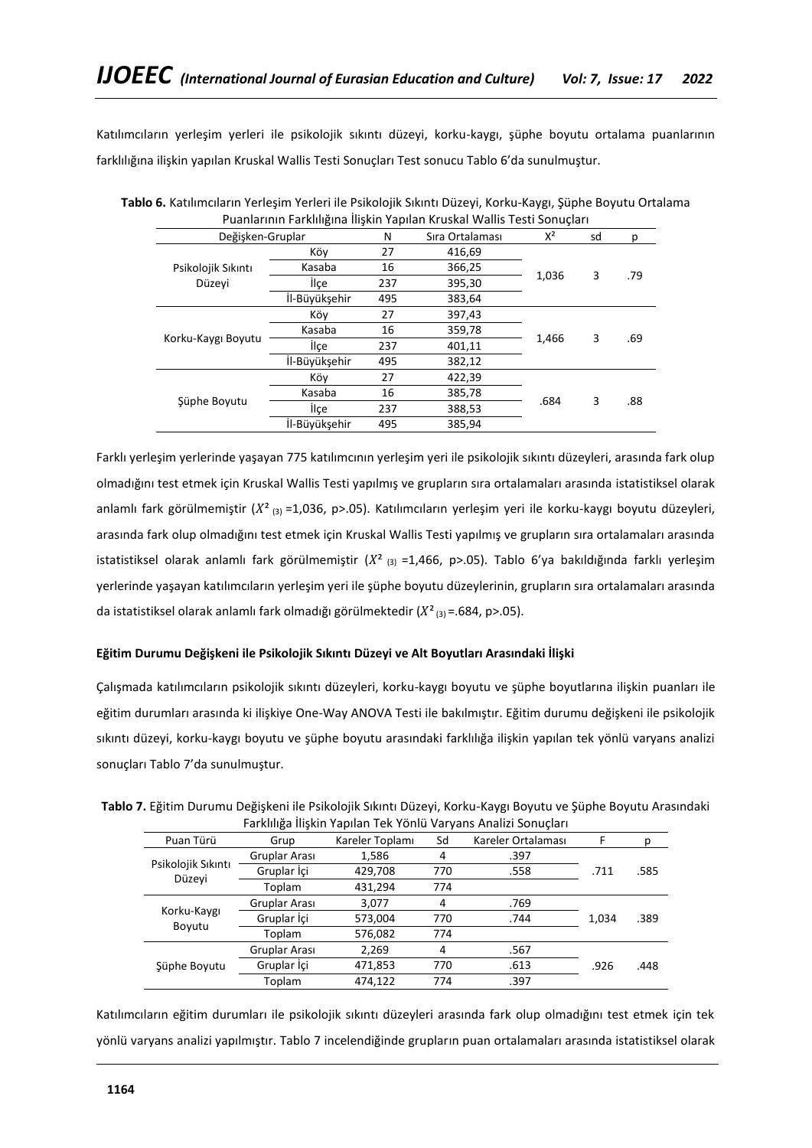Katılımcıların yerleşim yerleri ile psikolojik sıkıntı düzeyi, korku-kaygı, şüphe boyutu ortalama puanlarının farklılığına ilişkin yapılan Kruskal Wallis Testi Sonuçları Test sonucu Tablo 6'da sunulmuştur.

| Pudilidi ilili Farkiliigilid iliskiil Tapiidil NTuskal Wallis Testi Sofiuçidi I |                                      |     |                 |       |    |     |
|---------------------------------------------------------------------------------|--------------------------------------|-----|-----------------|-------|----|-----|
| Değişken-Gruplar                                                                |                                      | N   | Sıra Ortalaması | $X^2$ | sd | p   |
| Psikolojik Sıkıntı                                                              | Köy                                  |     | 416,69          |       |    |     |
|                                                                                 | Kasaba                               | 16  | 366,25          |       |    | .79 |
| Düzeyi                                                                          | <b>ilce</b>                          | 237 | 395,30          | 1,036 | 3  |     |
|                                                                                 | İl-Büyüksehir                        | 495 | 383,64          |       |    |     |
|                                                                                 | Köy                                  | 27  | 397,43          |       |    |     |
|                                                                                 | Kasaba<br>Korku-Kaygı Boyutu<br>İlce |     | 359,78          |       | 3  | .69 |
|                                                                                 |                                      |     | 401,11          | 1,466 |    |     |
|                                                                                 | İl-Büyükşehir                        | 495 | 382,12          |       |    |     |
| Süphe Boyutu                                                                    | Köy                                  | 27  | 422,39          |       |    |     |
|                                                                                 | Kasaba<br>İlce                       |     | 385,78          | .684  | 3  | .88 |
|                                                                                 |                                      |     | 388,53          |       |    |     |
|                                                                                 | İl-Büyüksehir                        | 495 |                 |       |    |     |

**Tablo 6.** Katılımcıların Yerleşim Yerleri ile Psikolojik Sıkıntı Düzeyi, Korku-Kaygı, Şüphe Boyutu Ortalama Puanlarının Farklılığına İlişkin Yapılan Kruskal Wallis Testi Sonuçları

Farklı yerleşim yerlerinde yaşayan 775 katılımcının yerleşim yeri ile psikolojik sıkıntı düzeyleri, arasında fark olup olmadığını test etmek için Kruskal Wallis Testi yapılmış ve grupların sıra ortalamaları arasında istatistiksel olarak anlamlı fark görülmemiştir  $(X^2_{(3)}=1,036, p>0.05)$ . Katılımcıların yerleşim yeri ile korku-kaygı boyutu düzeyleri, arasında fark olup olmadığını test etmek için Kruskal Wallis Testi yapılmış ve grupların sıra ortalamaları arasında istatistiksel olarak anlamlı fark görülmemiştir ( $X^2$  (3) =1,466, p>.05). Tablo 6'ya bakıldığında farklı yerleşim yerlerinde yaşayan katılımcıların yerleşim yeri ile şüphe boyutu düzeylerinin, grupların sıra ortalamaları arasında da istatistiksel olarak anlamlı fark olmadığı görülmektedir  $(X^2_{(3)} = .684, p > .05)$ .

# **Eğitim Durumu Değişkeni ile Psikolojik Sıkıntı Düzeyi ve Alt Boyutları Arasındaki İlişki**

Çalışmada katılımcıların psikolojik sıkıntı düzeyleri, korku-kaygı boyutu ve şüphe boyutlarına ilişkin puanları ile eğitim durumları arasında ki ilişkiye One-Way ANOVA Testi ile bakılmıştır. Eğitim durumu değişkeni ile psikolojik sıkıntı düzeyi, korku-kaygı boyutu ve şüphe boyutu arasındaki farklılığa ilişkin yapılan tek yönlü varyans analizi sonuçları Tablo 7'da sunulmuştur.

| Tablo 7. Eğitim Durumu Değişkeni ile Psikolojik Sıkıntı Düzeyi, Korku-Kaygı Boyutu ve Şüphe Boyutu Arasındaki |
|---------------------------------------------------------------------------------------------------------------|
| Farklılığa İlişkin Yapılan Tek Yönlü Varyans Analizi Sonuçları                                                |

| Puan Türü             | Grup                                                                       | Kareler Toplamı | Sd  | Kareler Ortalaması |       | р    |
|-----------------------|----------------------------------------------------------------------------|-----------------|-----|--------------------|-------|------|
|                       | Gruplar Arası                                                              | 1,586           | 4   | .397               |       |      |
| Psikolojik Sıkıntı    | Gruplar İçi                                                                | 429,708         | 770 | .558               | .711  | .585 |
| Düzeyi                | Toplam<br>431,294<br>Gruplar Arası<br>3,077<br>4<br>Gruplar İçi<br>573,004 | 774             |     |                    |       |      |
| Korku-Kaygı<br>Boyutu |                                                                            |                 |     | .769               |       |      |
|                       |                                                                            |                 | 770 | .744               | 1,034 | .389 |
|                       | Toplam                                                                     | 576,082         | 774 |                    |       |      |
|                       | Gruplar Arası                                                              | 2,269           | 4   | .567               |       |      |
| Şüphe Boyutu          | Gruplar İçi                                                                | 471,853         | 770 | .613               | .926  | .448 |
|                       | Toplam                                                                     | 474.122         | 774 | .397               |       |      |

Katılımcıların eğitim durumları ile psikolojik sıkıntı düzeyleri arasında fark olup olmadığını test etmek için tek yönlü varyans analizi yapılmıştır. Tablo 7 incelendiğinde grupların puan ortalamaları arasında istatistiksel olarak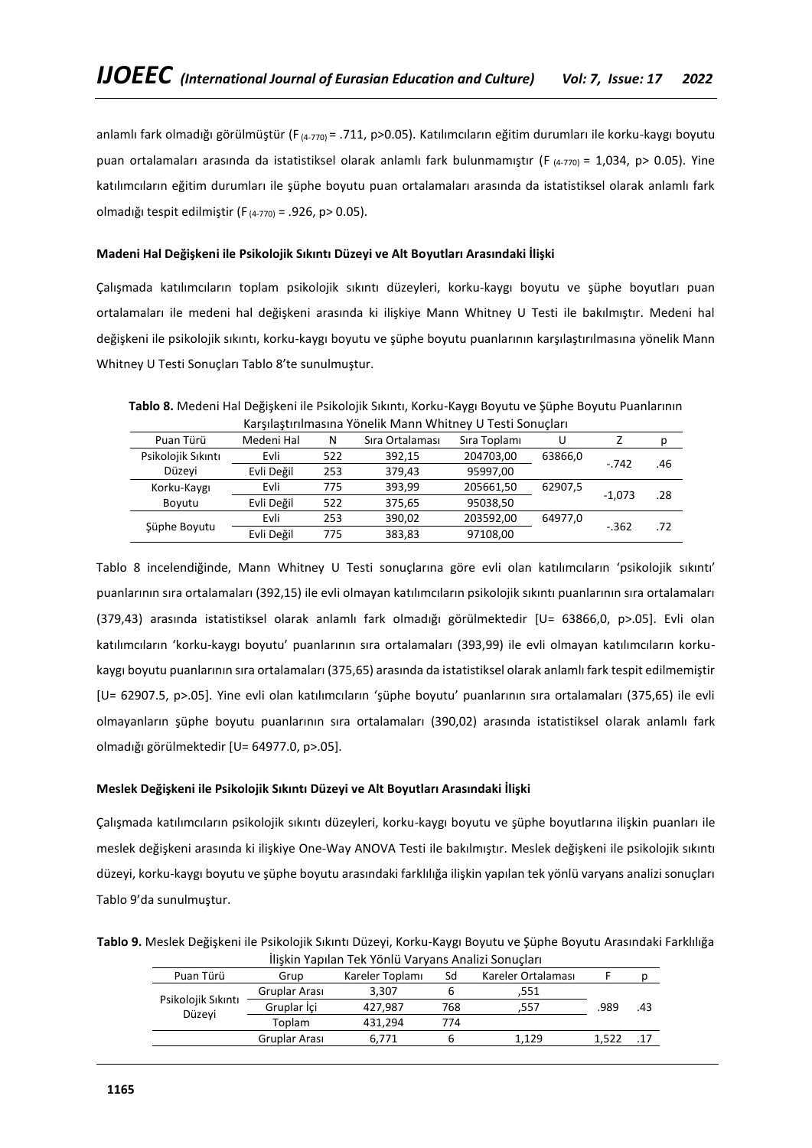anlamlı fark olmadığı görülmüştür (F<sub>(4-770)</sub> = .711, p>0.05). Katılımcıların eğitim durumları ile korku-kaygı boyutu puan ortalamaları arasında da istatistiksel olarak anlamlı fark bulunmamıştır (F  $_{(4-770)} = 1,034$ , p> 0.05). Yine katılımcıların eğitim durumları ile şüphe boyutu puan ortalamaları arasında da istatistiksel olarak anlamlı fark olmadığı tespit edilmiştir (F (4-770) = .926, p> 0.05).

### **Madeni Hal Değişkeni ile Psikolojik Sıkıntı Düzeyi ve Alt Boyutları Arasındaki İlişki**

Çalışmada katılımcıların toplam psikolojik sıkıntı düzeyleri, korku-kaygı boyutu ve şüphe boyutları puan ortalamaları ile medeni hal değişkeni arasında ki ilişkiye Mann Whitney U Testi ile bakılmıştır. Medeni hal değişkeni ile psikolojik sıkıntı, korku-kaygı boyutu ve şüphe boyutu puanlarının karşılaştırılmasına yönelik Mann Whitney U Testi Sonuçları Tablo 8'te sunulmuştur.

**Tablo 8.** Medeni Hal Değişkeni ile Psikolojik Sıkıntı, Korku-Kaygı Boyutu ve Şüphe Boyutu Puanlarının Karşılaştırılmasına Yönelik Mann Whitney U Testi Sonuçları

| Puan Türü          | Medeni Hal | N   | Sıra Ortalaması | Sıra Toplamı | U       |          |     |
|--------------------|------------|-----|-----------------|--------------|---------|----------|-----|
| Psikolojik Sıkıntı | Evli       | 522 | 392.15          | 204703,00    | 63866,0 | $-.742$  | .46 |
| Düzeyi             | Evli Değil | 253 | 379,43          | 95997,00     |         |          |     |
| Korku-Kaygı        | Evli       | 775 | 393,99          | 205661,50    | 62907,5 |          |     |
| Boyutu             | Evli Değil | 522 | 375,65          | 95038,50     |         | $-1.073$ | .28 |
|                    | Evli       | 253 | 390,02          | 203592,00    | 64977,0 | $-0.362$ |     |
| Şüphe Boyutu       | Evli Değil | 775 | 383,83          | 97108,00     |         |          | .72 |
|                    |            |     |                 |              |         |          |     |

Tablo 8 incelendiğinde, Mann Whitney U Testi sonuçlarına göre evli olan katılımcıların 'psikolojik sıkıntı' puanlarının sıra ortalamaları (392,15) ile evli olmayan katılımcıların psikolojik sıkıntı puanlarının sıra ortalamaları (379,43) arasında istatistiksel olarak anlamlı fark olmadığı görülmektedir [U= 63866,0, p>.05]. Evli olan katılımcıların 'korku-kaygı boyutu' puanlarının sıra ortalamaları (393,99) ile evli olmayan katılımcıların korkukaygı boyutu puanlarının sıra ortalamaları (375,65) arasında da istatistiksel olarak anlamlı fark tespit edilmemiştir [U= 62907.5, p>.05]. Yine evli olan katılımcıların 'şüphe boyutu' puanlarının sıra ortalamaları (375,65) ile evli olmayanların şüphe boyutu puanlarının sıra ortalamaları (390,02) arasında istatistiksel olarak anlamlı fark olmadığı görülmektedir [U= 64977.0, p>.05].

### **Meslek Değişkeni ile Psikolojik Sıkıntı Düzeyi ve Alt Boyutları Arasındaki İlişki**

Çalışmada katılımcıların psikolojik sıkıntı düzeyleri, korku-kaygı boyutu ve şüphe boyutlarına ilişkin puanları ile meslek değişkeni arasında ki ilişkiye One-Way ANOVA Testi ile bakılmıştır. Meslek değişkeni ile psikolojik sıkıntı düzeyi, korku-kaygı boyutu ve şüphe boyutu arasındaki farklılığa ilişkin yapılan tek yönlü varyans analizi sonuçları Tablo 9'da sunulmuştur.

**Tablo 9.** Meslek Değişkeni ile Psikolojik Sıkıntı Düzeyi, Korku-Kaygı Boyutu ve Şüphe Boyutu Arasındaki Farklılığa İlişkin Yapılan Tek Yönlü Varyans Analizi Sonuçları

| Puan Türü                    | Grup          | Kareler Toplamı | Sd  | Kareler Ortalaması |       |     |
|------------------------------|---------------|-----------------|-----|--------------------|-------|-----|
| Psikolojik Sıkıntı<br>Düzeyi | Gruplar Arası | 3,307           |     | .551               |       |     |
|                              | Gruplar İçi   | 427.987         | 768 | .557               | .989  | .43 |
|                              | Toplam        | 431.294         | 774 |                    |       |     |
|                              | Gruplar Arası | 6.771           |     | 1.129              | 1.522 | .17 |
|                              |               |                 |     |                    |       |     |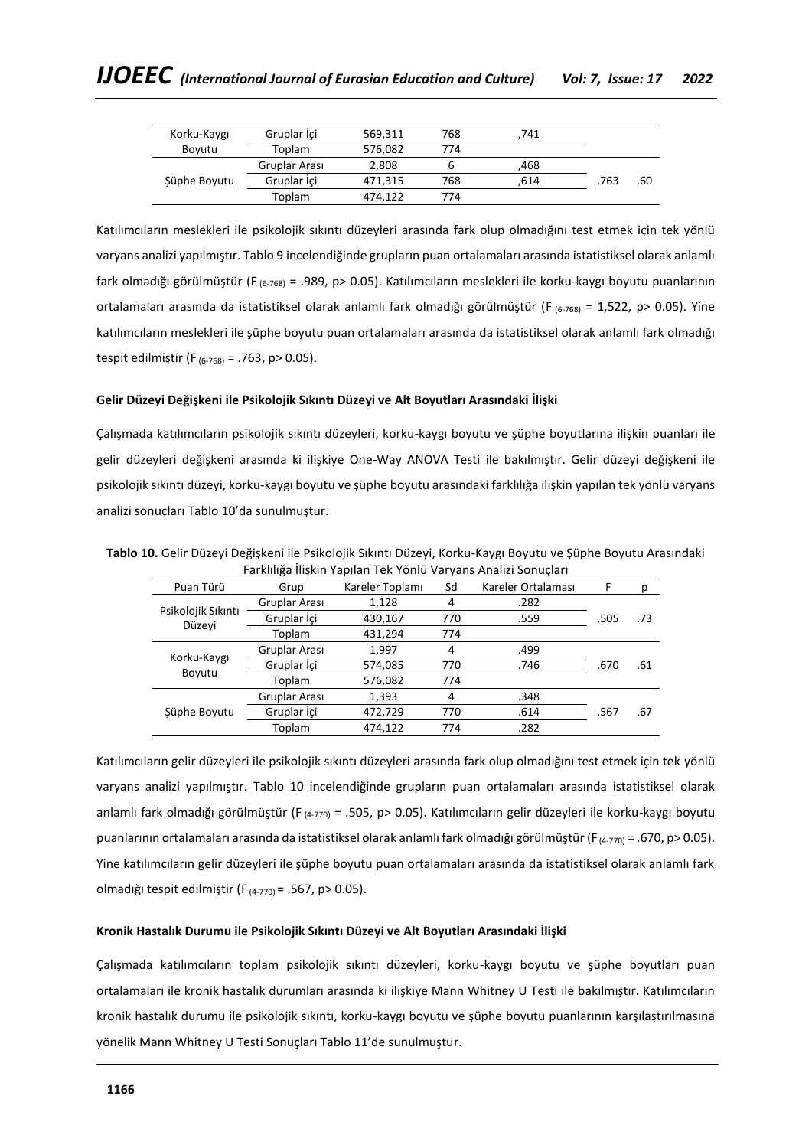| Korku-Kaygı  | Gruplar Ici   | 569,311 | 768 | 741  |      |     |
|--------------|---------------|---------|-----|------|------|-----|
| Bovutu       | Toplam        | 576,082 | 774 |      |      |     |
|              | Gruplar Arası | 2.808   | ь   | .468 |      |     |
| Süphe Boyutu | Gruplar İçi   | 471.315 | 768 | .614 | .763 | .60 |
|              | Toplam        | 474,122 | 774 |      |      |     |

Katılımcıların meslekleri ile psikolojik sıkıntı düzeyleri arasında fark olup olmadığını test etmek için tek yönlü varyans analizi yapılmıştır. Tablo 9 incelendiğinde grupların puan ortalamaları arasında istatistiksel olarak anlamlı fark olmadığı görülmüştür (F (6-768) = .989, p> 0.05). Katılımcıların meslekleri ile korku-kaygı boyutu puanlarının ortalamaları arasında da istatistiksel olarak anlamlı fark olmadığı görülmüştür (F (6-768) = 1,522, p> 0.05). Yine katılımcıların meslekleri ile şüphe boyutu puan ortalamaları arasında da istatistiksel olarak anlamlı fark olmadığı tespit edilmiştir (F $_{(6-768)}$  = .763, p > 0.05).

## **Gelir Düzeyi Değişkeni ile Psikolojik Sıkıntı Düzeyi ve Alt Boyutları Arasındaki İlişki**

Çalışmada katılımcıların psikolojik sıkıntı düzeyleri, korku-kaygı boyutu ve şüphe boyutlarına ilişkin puanları ile gelir düzeyleri değişkeni arasında ki ilişkiye One-Way ANOVA Testi ile bakılmıştır. Gelir düzeyi değişkeni ile psikolojik sıkıntı düzeyi, korku-kaygı boyutu ve şüphe boyutu arasındaki farklılığa ilişkin yapılan tek yönlü varyans analizi sonuçları Tablo 10'da sunulmuştur.

| i di Kiliiga iliyKili Tapilali TCK TUHlu Val yalis Allalizi Softuçları |               |                 |     |                    |      |     |  |
|------------------------------------------------------------------------|---------------|-----------------|-----|--------------------|------|-----|--|
| Puan Türü                                                              | Grup          | Kareler Toplamı | Sd  | Kareler Ortalaması | F    | р   |  |
|                                                                        | Gruplar Arası | 1,128           | 4   | .282               |      |     |  |
| Psikolojik Sıkıntı<br>Düzeyi                                           | Gruplar İçi   | 430,167         | 770 | .559               | .505 | .73 |  |
|                                                                        | Toplam        | 431,294         | 774 |                    |      |     |  |
| Korku-Kaygı<br>Boyutu                                                  | Gruplar Arası | 1,997           | 4   | .499               |      |     |  |
|                                                                        | Gruplar İçi   | 574,085         | 770 | .746               | .670 | .61 |  |
|                                                                        | Toplam        | 576,082         | 774 |                    |      |     |  |
| Şüphe Boyutu                                                           | Gruplar Arası | 1,393           | 4   | .348               |      |     |  |
|                                                                        | Gruplar İçi   | 472,729         | 770 | .614               | .567 | .67 |  |
|                                                                        | Toplam        | 474,122         | 774 | .282               |      |     |  |

**Tablo 10.** Gelir Düzeyi Değişkeni ile Psikolojik Sıkıntı Düzeyi, Korku-Kaygı Boyutu ve Şüphe Boyutu Arasındaki Farklılığa İlişkin Yapılan Tek Yönlü Varyans Analizi Sonuçları

Katılımcıların gelir düzeyleri ile psikolojik sıkıntı düzeyleri arasında fark olup olmadığını test etmek için tek yönlü varyans analizi yapılmıştır. Tablo 10 incelendiğinde grupların puan ortalamaları arasında istatistiksel olarak anlamlı fark olmadığı görülmüştür (F (4-770) = .505, p> 0.05). Katılımcıların gelir düzeyleri ile korku-kaygı boyutu puanlarının ortalamaları arasında da istatistiksel olarak anlamlı fark olmadığı görülmüştür (F(4-770) = .670, p> 0.05). Yine katılımcıların gelir düzeyleri ile şüphe boyutu puan ortalamaları arasında da istatistiksel olarak anlamlı fark olmadığı tespit edilmiştir (F $(4-770)$  = .567, p > 0.05).

### **Kronik Hastalık Durumu ile Psikolojik Sıkıntı Düzeyi ve Alt Boyutları Arasındaki İlişki**

Çalışmada katılımcıların toplam psikolojik sıkıntı düzeyleri, korku-kaygı boyutu ve şüphe boyutları puan ortalamaları ile kronik hastalık durumları arasında ki ilişkiye Mann Whitney U Testi ile bakılmıştır. Katılımcıların kronik hastalık durumu ile psikolojik sıkıntı, korku-kaygı boyutu ve şüphe boyutu puanlarının karşılaştırılmasına yönelik Mann Whitney U Testi Sonuçları Tablo 11'de sunulmuştur.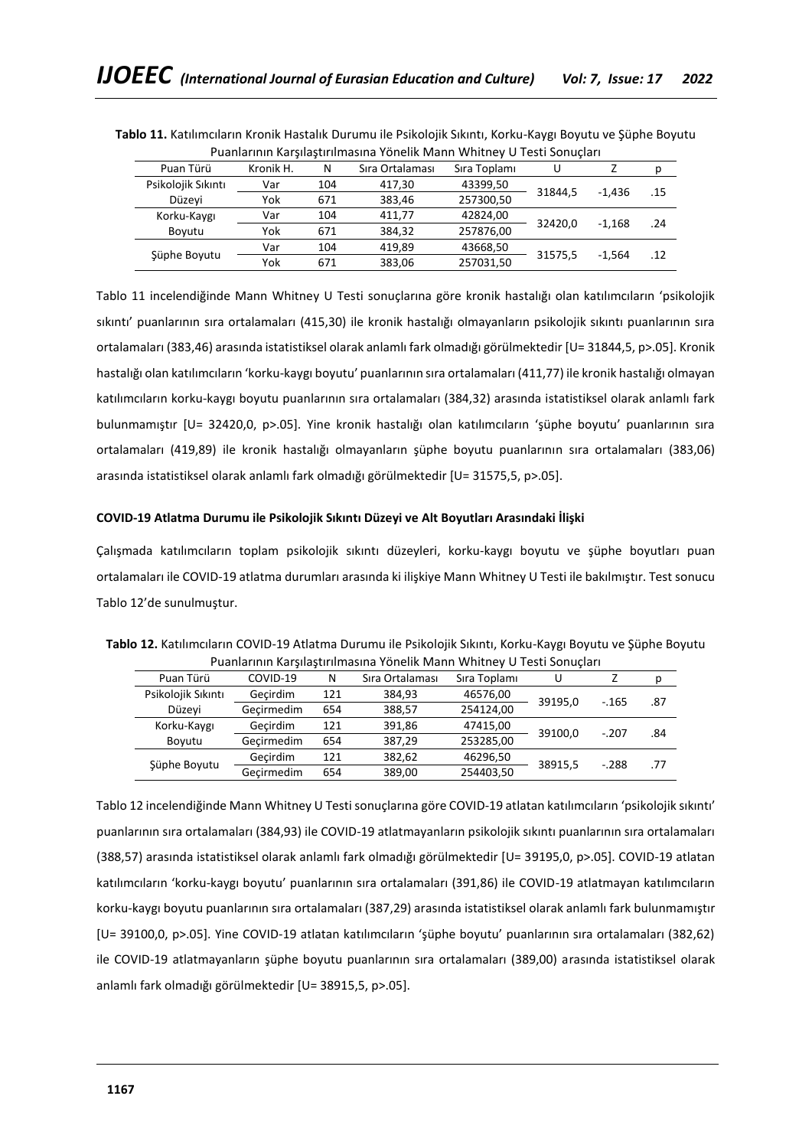| <u>Fuallialliili Karsilastiriililasilla Turitiik Mallii Willtilty O Testi Sullutlari</u> |           |     |                 |              |         |          |     |
|------------------------------------------------------------------------------------------|-----------|-----|-----------------|--------------|---------|----------|-----|
| Puan Türü                                                                                | Kronik H. | N   | Sıra Ortalaması | Sıra Toplamı | U       |          | р   |
| Psikolojik Sıkıntı                                                                       | Var       | 104 | 417.30          | 43399,50     | 31844.5 | $-1.436$ | .15 |
| Düzevi                                                                                   | Yok       | 671 | 383.46          | 257300,50    |         |          |     |
| Korku-Kaygı                                                                              | Var       | 104 | 411.77          | 42824,00     | 32420.0 | $-1.168$ | .24 |
| Boyutu                                                                                   | Yok       | 671 | 384.32          | 257876,00    |         |          |     |
|                                                                                          | Var       | 104 | 419.89          | 43668,50     |         | $-1.564$ | .12 |
| Süphe Boyutu                                                                             | Yok       | 671 | 383,06          | 257031,50    | 31575,5 |          |     |

**Tablo 11.** Katılımcıların Kronik Hastalık Durumu ile Psikolojik Sıkıntı, Korku-Kaygı Boyutu ve Şüphe Boyutu Puanlarının Karşılaştırılmasına Yönelik Mann Whitney U Testi Sonuçları

Tablo 11 incelendiğinde Mann Whitney U Testi sonuçlarına göre kronik hastalığı olan katılımcıların 'psikolojik sıkıntı' puanlarının sıra ortalamaları (415,30) ile kronik hastalığı olmayanların psikolojik sıkıntı puanlarının sıra ortalamaları (383,46) arasında istatistiksel olarak anlamlı fark olmadığı görülmektedir [U= 31844,5, p>.05]. Kronik hastalığı olan katılımcıların 'korku-kaygı boyutu' puanlarının sıra ortalamaları (411,77) ile kronik hastalığı olmayan katılımcıların korku-kaygı boyutu puanlarının sıra ortalamaları (384,32) arasında istatistiksel olarak anlamlı fark bulunmamıştır [U= 32420,0, p>.05]. Yine kronik hastalığı olan katılımcıların 'şüphe boyutu' puanlarının sıra ortalamaları (419,89) ile kronik hastalığı olmayanların şüphe boyutu puanlarının sıra ortalamaları (383,06) arasında istatistiksel olarak anlamlı fark olmadığı görülmektedir [U= 31575,5, p>.05].

# **COVID-19 Atlatma Durumu ile Psikolojik Sıkıntı Düzeyi ve Alt Boyutları Arasındaki İlişki**

Çalışmada katılımcıların toplam psikolojik sıkıntı düzeyleri, korku-kaygı boyutu ve şüphe boyutları puan ortalamaları ile COVID-19 atlatma durumları arasında ki ilişkiye Mann Whitney U Testi ile bakılmıştır. Test sonucu Tablo 12'de sunulmuştur.

| Puan Türü          | COVID-19   | N   | Sıra Ortalaması | Sıra Toplamı | U       |         | р   |  |
|--------------------|------------|-----|-----------------|--------------|---------|---------|-----|--|
| Psikolojik Sıkıntı | Gecirdim   | 121 | 384,93          | 46576,00     |         |         |     |  |
| Düzeyi             | Gecirmedim | 654 | 388,57          | 254124,00    | 39195,0 | $-165$  | .87 |  |
| Korku-Kaygı        | Gecirdim   | 121 | 391,86          | 47415,00     |         |         |     |  |
| Bovutu             | Gecirmedim | 654 | 387,29          | 253285,00    | 39100.0 | $-.207$ | .84 |  |
|                    | Gecirdim   | 121 | 382,62          | 46296,50     | 38915,5 | $-.288$ | .77 |  |
| Şüphe Boyutu       | Gecirmedim | 654 | 389,00          | 254403,50    |         |         |     |  |

**Tablo 12.** Katılımcıların COVID-19 Atlatma Durumu ile Psikolojik Sıkıntı, Korku-Kaygı Boyutu ve Şüphe Boyutu Puanlarının Karşılaştırılmasına Yönelik Mann Whitney U Testi Sonuçları

Tablo 12 incelendiğinde Mann Whitney U Testi sonuçlarına göre COVID-19 atlatan katılımcıların 'psikolojik sıkıntı' puanlarının sıra ortalamaları (384,93) ile COVID-19 atlatmayanların psikolojik sıkıntı puanlarının sıra ortalamaları (388,57) arasında istatistiksel olarak anlamlı fark olmadığı görülmektedir [U= 39195,0, p>.05]. COVID-19 atlatan katılımcıların 'korku-kaygı boyutu' puanlarının sıra ortalamaları (391,86) ile COVID-19 atlatmayan katılımcıların korku-kaygı boyutu puanlarının sıra ortalamaları (387,29) arasında istatistiksel olarak anlamlı fark bulunmamıştır [U= 39100,0, p>.05]. Yine COVID-19 atlatan katılımcıların 'şüphe boyutu' puanlarının sıra ortalamaları (382,62) ile COVID-19 atlatmayanların şüphe boyutu puanlarının sıra ortalamaları (389,00) arasında istatistiksel olarak anlamlı fark olmadığı görülmektedir [U= 38915,5, p>.05].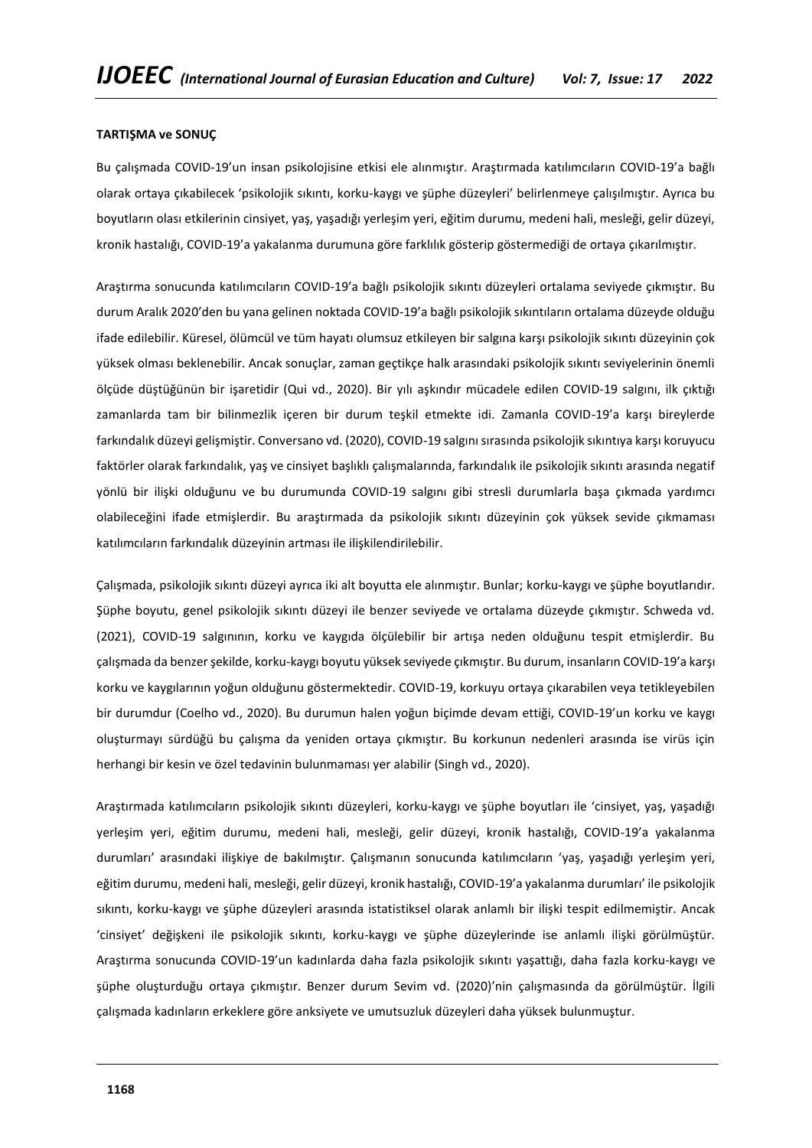### **TARTIŞMA ve SONUÇ**

Bu çalışmada COVID-19'un insan psikolojisine etkisi ele alınmıştır. Araştırmada katılımcıların COVID-19'a bağlı olarak ortaya çıkabilecek 'psikolojik sıkıntı, korku-kaygı ve şüphe düzeyleri' belirlenmeye çalışılmıştır. Ayrıca bu boyutların olası etkilerinin cinsiyet, yaş, yaşadığı yerleşim yeri, eğitim durumu, medeni hali, mesleği, gelir düzeyi, kronik hastalığı, COVID-19'a yakalanma durumuna göre farklılık gösterip göstermediği de ortaya çıkarılmıştır.

Araştırma sonucunda katılımcıların COVID-19'a bağlı psikolojik sıkıntı düzeyleri ortalama seviyede çıkmıştır. Bu durum Aralık 2020'den bu yana gelinen noktada COVID-19'a bağlı psikolojik sıkıntıların ortalama düzeyde olduğu ifade edilebilir. Küresel, ölümcül ve tüm hayatı olumsuz etkileyen bir salgına karşı psikolojik sıkıntı düzeyinin çok yüksek olması beklenebilir. Ancak sonuçlar, zaman geçtikçe halk arasındaki psikolojik sıkıntı seviyelerinin önemli ölçüde düştüğünün bir işaretidir (Qui vd., 2020). Bir yılı aşkındır mücadele edilen COVID-19 salgını, ilk çıktığı zamanlarda tam bir bilinmezlik içeren bir durum teşkil etmekte idi. Zamanla COVID-19'a karşı bireylerde farkındalık düzeyi gelişmiştir. Conversano vd. (2020), COVID-19 salgını sırasında psikolojik sıkıntıya karşı koruyucu faktörler olarak farkındalık, yaş ve cinsiyet başlıklı çalışmalarında, farkındalık ile psikolojik sıkıntı arasında negatif yönlü bir ilişki olduğunu ve bu durumunda COVID-19 salgını gibi stresli durumlarla başa çıkmada yardımcı olabileceğini ifade etmişlerdir. Bu araştırmada da psikolojik sıkıntı düzeyinin çok yüksek sevide çıkmaması katılımcıların farkındalık düzeyinin artması ile ilişkilendirilebilir.

Çalışmada, psikolojik sıkıntı düzeyi ayrıca iki alt boyutta ele alınmıştır. Bunlar; korku-kaygı ve şüphe boyutlarıdır. Şüphe boyutu, genel psikolojik sıkıntı düzeyi ile benzer seviyede ve ortalama düzeyde çıkmıştır. Schweda vd. (2021), COVID-19 salgınının, korku ve kaygıda ölçülebilir bir artışa neden olduğunu tespit etmişlerdir. Bu çalışmada da benzer şekilde, korku-kaygı boyutu yüksek seviyede çıkmıştır. Bu durum, insanların COVID-19'a karşı korku ve kaygılarının yoğun olduğunu göstermektedir. COVID-19, korkuyu ortaya çıkarabilen veya tetikleyebilen bir durumdur (Coelho vd., 2020). Bu durumun halen yoğun biçimde devam ettiği, COVID-19'un korku ve kaygı oluşturmayı sürdüğü bu çalışma da yeniden ortaya çıkmıştır. Bu korkunun nedenleri arasında ise virüs için herhangi bir kesin ve özel tedavinin bulunmaması yer alabilir (Singh vd., 2020).

Araştırmada katılımcıların psikolojik sıkıntı düzeyleri, korku-kaygı ve şüphe boyutları ile 'cinsiyet, yaş, yaşadığı yerleşim yeri, eğitim durumu, medeni hali, mesleği, gelir düzeyi, kronik hastalığı, COVID-19'a yakalanma durumları' arasındaki ilişkiye de bakılmıştır. Çalışmanın sonucunda katılımcıların 'yaş, yaşadığı yerleşim yeri, eğitim durumu, medeni hali, mesleği, gelir düzeyi, kronik hastalığı, COVID-19'a yakalanma durumları' ile psikolojik sıkıntı, korku-kaygı ve şüphe düzeyleri arasında istatistiksel olarak anlamlı bir ilişki tespit edilmemiştir. Ancak 'cinsiyet' değişkeni ile psikolojik sıkıntı, korku-kaygı ve şüphe düzeylerinde ise anlamlı ilişki görülmüştür. Araştırma sonucunda COVID-19'un kadınlarda daha fazla psikolojik sıkıntı yaşattığı, daha fazla korku-kaygı ve şüphe oluşturduğu ortaya çıkmıştır. Benzer durum Sevim vd. (2020)'nin çalışmasında da görülmüştür. İlgili çalışmada kadınların erkeklere göre anksiyete ve umutsuzluk düzeyleri daha yüksek bulunmuştur.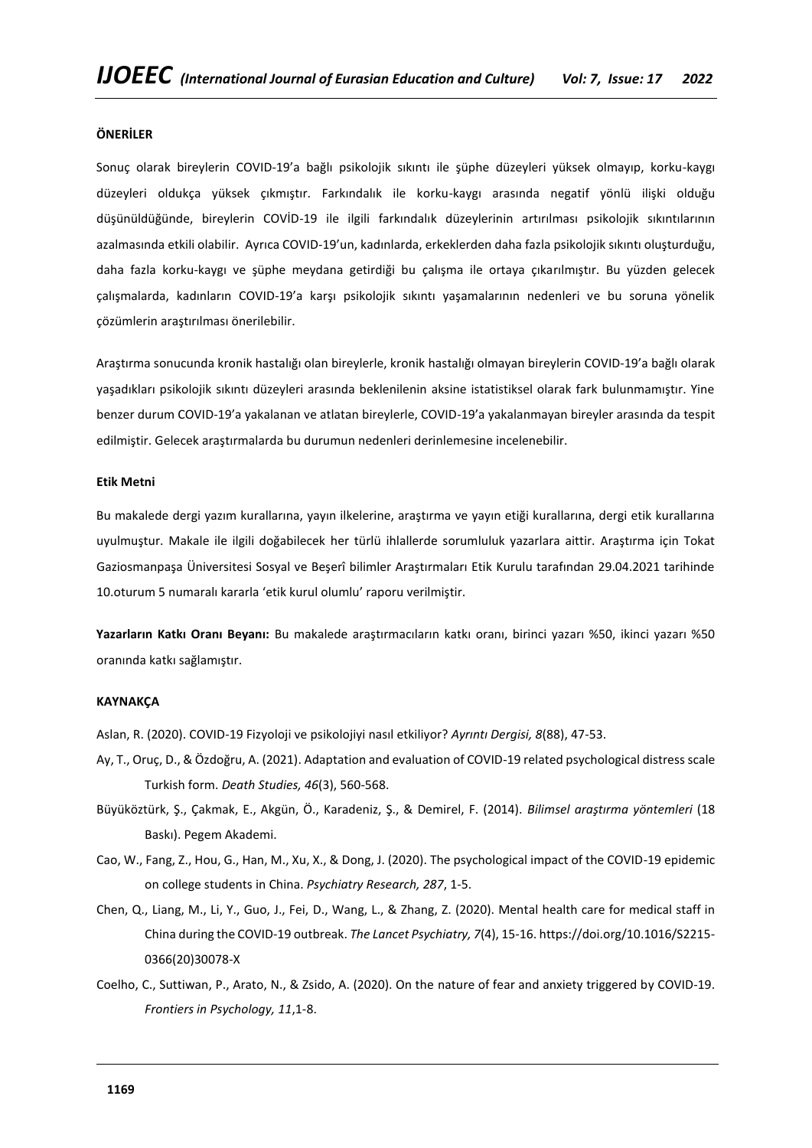# **ÖNERİLER**

Sonuç olarak bireylerin COVID-19'a bağlı psikolojik sıkıntı ile şüphe düzeyleri yüksek olmayıp, korku-kaygı düzeyleri oldukça yüksek çıkmıştır. Farkındalık ile korku-kaygı arasında negatif yönlü ilişki olduğu düşünüldüğünde, bireylerin COVİD-19 ile ilgili farkındalık düzeylerinin artırılması psikolojik sıkıntılarının azalmasında etkili olabilir. Ayrıca COVID-19'un, kadınlarda, erkeklerden daha fazla psikolojik sıkıntı oluşturduğu, daha fazla korku-kaygı ve şüphe meydana getirdiği bu çalışma ile ortaya çıkarılmıştır. Bu yüzden gelecek çalışmalarda, kadınların COVID-19'a karşı psikolojik sıkıntı yaşamalarının nedenleri ve bu soruna yönelik çözümlerin araştırılması önerilebilir.

Araştırma sonucunda kronik hastalığı olan bireylerle, kronik hastalığı olmayan bireylerin COVID-19'a bağlı olarak yaşadıkları psikolojik sıkıntı düzeyleri arasında beklenilenin aksine istatistiksel olarak fark bulunmamıştır. Yine benzer durum COVID-19'a yakalanan ve atlatan bireylerle, COVID-19'a yakalanmayan bireyler arasında da tespit edilmiştir. Gelecek araştırmalarda bu durumun nedenleri derinlemesine incelenebilir.

#### **Etik Metni**

Bu makalede dergi yazım kurallarına, yayın ilkelerine, araştırma ve yayın etiği kurallarına, dergi etik kurallarına uyulmuştur. Makale ile ilgili doğabilecek her türlü ihlallerde sorumluluk yazarlara aittir. Araştırma için Tokat Gaziosmanpaşa Üniversitesi Sosyal ve Beşerî bilimler Araştırmaları Etik Kurulu tarafından 29.04.2021 tarihinde 10.oturum 5 numaralı kararla 'etik kurul olumlu' raporu verilmiştir.

**Yazarların Katkı Oranı Beyanı:** Bu makalede araştırmacıların katkı oranı, birinci yazarı %50, ikinci yazarı %50 oranında katkı sağlamıştır.

### **KAYNAKÇA**

Aslan, R. (2020). COVID-19 Fizyoloji ve psikolojiyi nasıl etkiliyor? *Ayrıntı Dergisi, 8*(88), 47-53.

- Ay, T., Oruç, D., & Özdoğru, A. (2021). Adaptation and evaluation of COVID-19 related psychological distress scale Turkish form. *Death Studies, 46*(3), 560-568.
- Büyüköztürk, Ş., Çakmak, E., Akgün, Ö., Karadeniz, Ş., & Demirel, F. (2014). *Bilimsel araştırma yöntemleri* (18 Baskı). Pegem Akademi.
- Cao, W., Fang, Z., Hou, G., Han, M., Xu, X., & Dong, J. (2020). The psychological impact of the COVID-19 epidemic on college students in China. *Psychiatry Research, 287*, 1-5.
- Chen, Q., Liang, M., Li, Y., Guo, J., Fei, D., Wang, L., & Zhang, Z. (2020). Mental health care for medical staff in China during the COVID-19 outbreak. *The Lancet Psychiatry, 7*(4), 15-16. https://doi.org/10.1016/S2215- 0366(20)30078-X
- Coelho, C., Suttiwan, P., Arato, N., & Zsido, A. (2020). On the nature of fear and anxiety triggered by COVID-19. *Frontiers in Psychology, 11*,1-8.